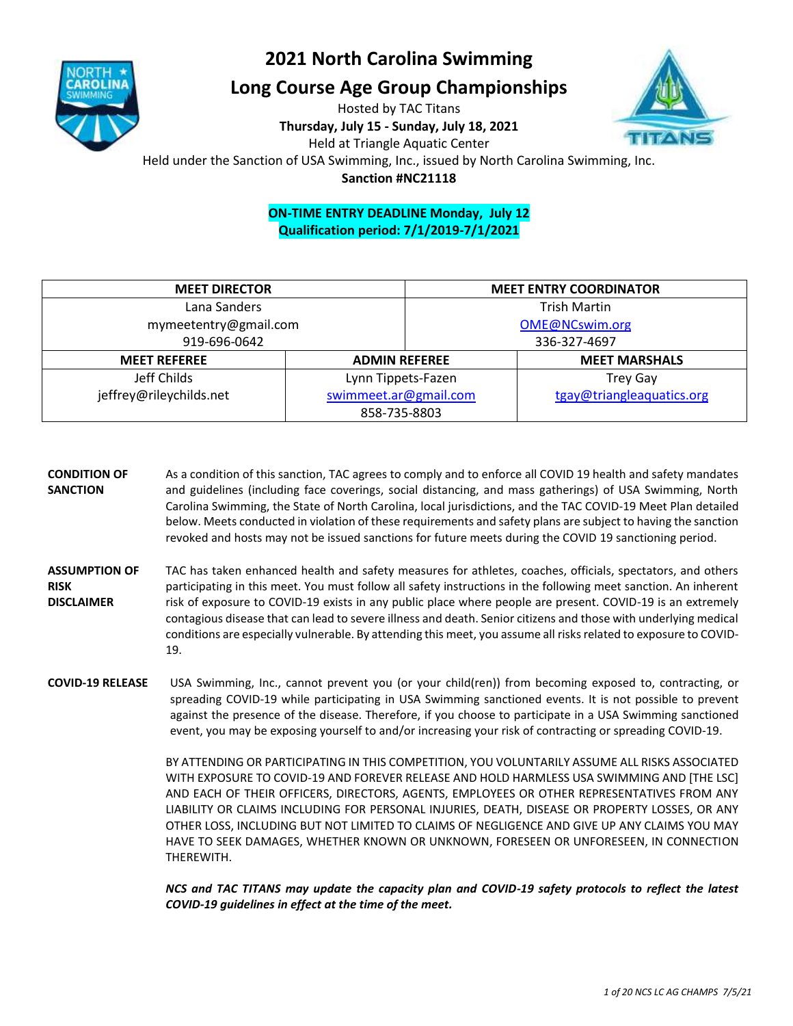

### **2021 North Carolina Swimming**

### **Long Course Age Group Championships**

Hosted by TAC Titans **Thursday, July 15 - Sunday, July 18, 2021** Held at Triangle Aquatic Center



Held under the Sanction of USA Swimming, Inc., issued by North Carolina Swimming, Inc.

**Sanction #NC21118**

### **ON-TIME ENTRY DEADLINE Monday, July 12 Qualification period: 7/1/2019-7/1/2021**

| <b>MEET DIRECTOR</b>    |                       | <b>MEET ENTRY COORDINATOR</b> |                           |  |  |
|-------------------------|-----------------------|-------------------------------|---------------------------|--|--|
| Lana Sanders            |                       | <b>Trish Martin</b>           |                           |  |  |
| mymeetentry@gmail.com   |                       | OME@NCswim.org                |                           |  |  |
| 919-696-0642            |                       | 336-327-4697                  |                           |  |  |
| <b>MEET REFEREE</b>     | <b>ADMIN REFEREE</b>  |                               | <b>MEET MARSHALS</b>      |  |  |
| Jeff Childs             | Lynn Tippets-Fazen    |                               | <b>Trey Gay</b>           |  |  |
| jeffrey@rileychilds.net | swimmeet.ar@gmail.com |                               | tgay@triangleaquatics.org |  |  |
|                         | 858-735-8803          |                               |                           |  |  |

- **CONDITION OF SANCTION** As a condition of this sanction, TAC agrees to comply and to enforce all COVID 19 health and safety mandates and guidelines (including face coverings, social distancing, and mass gatherings) of USA Swimming, North Carolina Swimming, the State of North Carolina, local jurisdictions, and the TAC COVID-19 Meet Plan detailed below. Meets conducted in violation of these requirements and safety plans are subject to having the sanction revoked and hosts may not be issued sanctions for future meets during the COVID 19 sanctioning period.
- **ASSUMPTION OF RISK DISCLAIMER** TAC has taken enhanced health and safety measures for athletes, coaches, officials, spectators, and others participating in this meet. You must follow all safety instructions in the following meet sanction. An inherent risk of exposure to COVID-19 exists in any public place where people are present. COVID-19 is an extremely contagious disease that can lead to severe illness and death. Senior citizens and those with underlying medical conditions are especially vulnerable. By attending this meet, you assume all risks related to exposure to COVID-19.
- **COVID-19 RELEASE** USA Swimming, Inc., cannot prevent you (or your child(ren)) from becoming exposed to, contracting, or spreading COVID-19 while participating in USA Swimming sanctioned events. It is not possible to prevent against the presence of the disease. Therefore, if you choose to participate in a USA Swimming sanctioned event, you may be exposing yourself to and/or increasing your risk of contracting or spreading COVID-19.

BY ATTENDING OR PARTICIPATING IN THIS COMPETITION, YOU VOLUNTARILY ASSUME ALL RISKS ASSOCIATED WITH EXPOSURE TO COVID-19 AND FOREVER RELEASE AND HOLD HARMLESS USA SWIMMING AND [THE LSC] AND EACH OF THEIR OFFICERS, DIRECTORS, AGENTS, EMPLOYEES OR OTHER REPRESENTATIVES FROM ANY LIABILITY OR CLAIMS INCLUDING FOR PERSONAL INJURIES, DEATH, DISEASE OR PROPERTY LOSSES, OR ANY OTHER LOSS, INCLUDING BUT NOT LIMITED TO CLAIMS OF NEGLIGENCE AND GIVE UP ANY CLAIMS YOU MAY HAVE TO SEEK DAMAGES, WHETHER KNOWN OR UNKNOWN, FORESEEN OR UNFORESEEN, IN CONNECTION THEREWITH.

*NCS and TAC TITANS may update the capacity plan and COVID-19 safety protocols to reflect the latest COVID-19 guidelines in effect at the time of the meet.*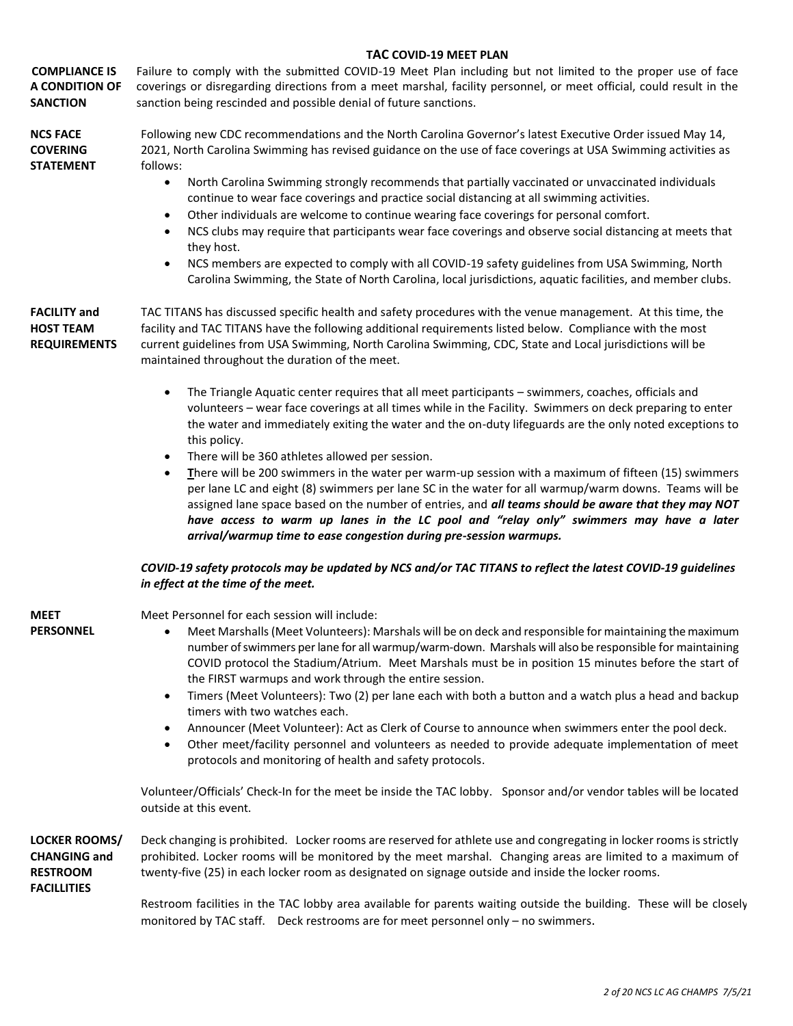|                                                                                      | <b>TAC COVID-19 MEET PLAN</b>                                                                                                                                                                                                                                                                                                                                                                                                                                                                                                                                                                                                                                                                                                                                                                                                                                                                                             |  |  |  |  |  |  |  |
|--------------------------------------------------------------------------------------|---------------------------------------------------------------------------------------------------------------------------------------------------------------------------------------------------------------------------------------------------------------------------------------------------------------------------------------------------------------------------------------------------------------------------------------------------------------------------------------------------------------------------------------------------------------------------------------------------------------------------------------------------------------------------------------------------------------------------------------------------------------------------------------------------------------------------------------------------------------------------------------------------------------------------|--|--|--|--|--|--|--|
| <b>COMPLIANCE IS</b><br>A CONDITION OF<br><b>SANCTION</b>                            | Failure to comply with the submitted COVID-19 Meet Plan including but not limited to the proper use of face<br>coverings or disregarding directions from a meet marshal, facility personnel, or meet official, could result in the<br>sanction being rescinded and possible denial of future sanctions.                                                                                                                                                                                                                                                                                                                                                                                                                                                                                                                                                                                                                   |  |  |  |  |  |  |  |
| <b>NCS FACE</b><br><b>COVERING</b><br><b>STATEMENT</b>                               | Following new CDC recommendations and the North Carolina Governor's latest Executive Order issued May 14,<br>2021, North Carolina Swimming has revised guidance on the use of face coverings at USA Swimming activities as<br>follows:                                                                                                                                                                                                                                                                                                                                                                                                                                                                                                                                                                                                                                                                                    |  |  |  |  |  |  |  |
|                                                                                      | $\bullet$<br>North Carolina Swimming strongly recommends that partially vaccinated or unvaccinated individuals<br>continue to wear face coverings and practice social distancing at all swimming activities.<br>Other individuals are welcome to continue wearing face coverings for personal comfort.<br>$\bullet$<br>NCS clubs may require that participants wear face coverings and observe social distancing at meets that<br>$\bullet$<br>they host.<br>NCS members are expected to comply with all COVID-19 safety guidelines from USA Swimming, North<br>٠<br>Carolina Swimming, the State of North Carolina, local jurisdictions, aquatic facilities, and member clubs.                                                                                                                                                                                                                                           |  |  |  |  |  |  |  |
| <b>FACILITY and</b><br><b>HOST TEAM</b><br><b>REQUIREMENTS</b>                       | TAC TITANS has discussed specific health and safety procedures with the venue management. At this time, the<br>facility and TAC TITANS have the following additional requirements listed below. Compliance with the most<br>current guidelines from USA Swimming, North Carolina Swimming, CDC, State and Local jurisdictions will be<br>maintained throughout the duration of the meet.                                                                                                                                                                                                                                                                                                                                                                                                                                                                                                                                  |  |  |  |  |  |  |  |
|                                                                                      | The Triangle Aquatic center requires that all meet participants - swimmers, coaches, officials and<br>$\bullet$<br>volunteers - wear face coverings at all times while in the Facility. Swimmers on deck preparing to enter<br>the water and immediately exiting the water and the on-duty lifeguards are the only noted exceptions to<br>this policy.<br>There will be 360 athletes allowed per session.<br>$\bullet$<br>There will be 200 swimmers in the water per warm-up session with a maximum of fifteen (15) swimmers<br>$\bullet$<br>per lane LC and eight (8) swimmers per lane SC in the water for all warmup/warm downs. Teams will be<br>assigned lane space based on the number of entries, and all teams should be aware that they may NOT<br>have access to warm up lanes in the LC pool and "relay only" swimmers may have a later<br>arrival/warmup time to ease congestion during pre-session warmups. |  |  |  |  |  |  |  |
|                                                                                      | COVID-19 safety protocols may be updated by NCS and/or TAC TITANS to reflect the latest COVID-19 guidelines<br>in effect at the time of the meet.                                                                                                                                                                                                                                                                                                                                                                                                                                                                                                                                                                                                                                                                                                                                                                         |  |  |  |  |  |  |  |
| <b>MEET</b><br><b>PERSONNEL</b>                                                      | Meet Personnel for each session will include:<br>Meet Marshalls (Meet Volunteers): Marshals will be on deck and responsible for maintaining the maximum<br>٠<br>number of swimmers per lane for all warmup/warm-down. Marshals will also be responsible for maintaining<br>COVID protocol the Stadium/Atrium. Meet Marshals must be in position 15 minutes before the start of<br>the FIRST warmups and work through the entire session.<br>Timers (Meet Volunteers): Two (2) per lane each with both a button and a watch plus a head and backup<br>$\bullet$<br>timers with two watches each.<br>Announcer (Meet Volunteer): Act as Clerk of Course to announce when swimmers enter the pool deck.<br>٠<br>Other meet/facility personnel and volunteers as needed to provide adequate implementation of meet<br>$\bullet$<br>protocols and monitoring of health and safety protocols.                                   |  |  |  |  |  |  |  |
|                                                                                      | Volunteer/Officials' Check-In for the meet be inside the TAC lobby. Sponsor and/or vendor tables will be located<br>outside at this event.                                                                                                                                                                                                                                                                                                                                                                                                                                                                                                                                                                                                                                                                                                                                                                                |  |  |  |  |  |  |  |
| <b>LOCKER ROOMS/</b><br><b>CHANGING and</b><br><b>RESTROOM</b><br><b>FACILLITIES</b> | Deck changing is prohibited. Locker rooms are reserved for athlete use and congregating in locker rooms is strictly<br>prohibited. Locker rooms will be monitored by the meet marshal. Changing areas are limited to a maximum of<br>twenty-five (25) in each locker room as designated on signage outside and inside the locker rooms.                                                                                                                                                                                                                                                                                                                                                                                                                                                                                                                                                                                   |  |  |  |  |  |  |  |
|                                                                                      | Restroom facilities in the TAC lobby area available for parents waiting outside the building. These will be closely<br>monitored by TAC staff. Deck restrooms are for meet personnel only - no swimmers.                                                                                                                                                                                                                                                                                                                                                                                                                                                                                                                                                                                                                                                                                                                  |  |  |  |  |  |  |  |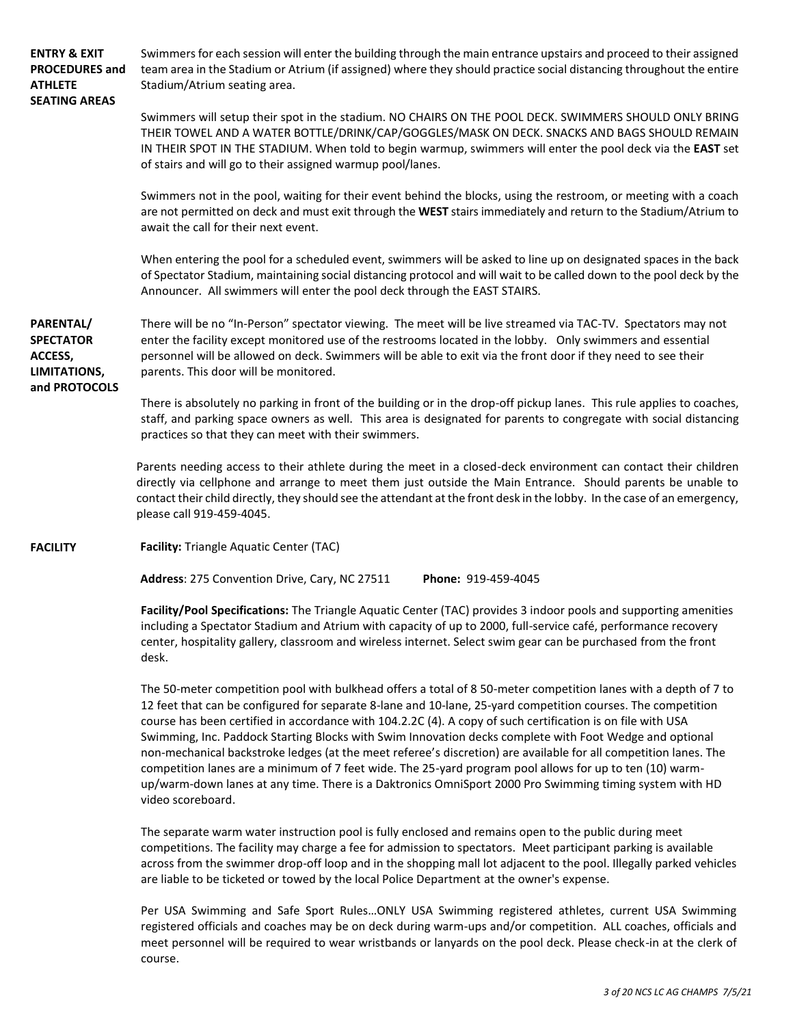**ENTRY & EXIT PROCEDURES and ATHLETE SEATING AREAS** Swimmersfor each session will enter the building through the main entrance upstairs and proceed to their assigned team area in the Stadium or Atrium (if assigned) where they should practice social distancing throughout the entire Stadium/Atrium seating area. Swimmers will setup their spot in the stadium. NO CHAIRS ON THE POOL DECK. SWIMMERS SHOULD ONLY BRING THEIR TOWEL AND A WATER BOTTLE/DRINK/CAP/GOGGLES/MASK ON DECK. SNACKS AND BAGS SHOULD REMAIN IN THEIR SPOT IN THE STADIUM. When told to begin warmup, swimmers will enter the pool deck via the **EAST** set of stairs and will go to their assigned warmup pool/lanes. Swimmers not in the pool, waiting for their event behind the blocks, using the restroom, or meeting with a coach are not permitted on deck and must exit through the **WEST** stairs immediately and return to the Stadium/Atrium to await the call for their next event. When entering the pool for a scheduled event, swimmers will be asked to line up on designated spaces in the back of Spectator Stadium, maintaining social distancing protocol and will wait to be called down to the pool deck by the Announcer. All swimmers will enter the pool deck through the EAST STAIRS. **PARENTAL/ SPECTATOR ACCESS, LIMITATIONS, and PROTOCOLS** There will be no "In-Person" spectator viewing. The meet will be live streamed via TAC-TV. Spectators may not enter the facility except monitored use of the restrooms located in the lobby. Only swimmers and essential personnel will be allowed on deck. Swimmers will be able to exit via the front door if they need to see their parents. This door will be monitored. There is absolutely no parking in front of the building or in the drop-off pickup lanes. This rule applies to coaches, staff, and parking space owners as well. This area is designated for parents to congregate with social distancing practices so that they can meet with their swimmers. Parents needing access to their athlete during the meet in a closed-deck environment can contact their children directly via cellphone and arrange to meet them just outside the Main Entrance. Should parents be unable to contact their child directly, they should see the attendant at the front desk in the lobby. In the case of an emergency, please call 919-459-4045. **FACILITY Facility:** Triangle Aquatic Center (TAC) **Address**: 275 Convention Drive, Cary, NC 27511 **Phone:** 919-459-4045 **Facility/Pool Specifications:** The Triangle Aquatic Center (TAC) provides 3 indoor pools and supporting amenities including a Spectator Stadium and Atrium with capacity of up to 2000, full-service café, performance recovery center, hospitality gallery, classroom and wireless internet. Select swim gear can be purchased from the front desk. The 50-meter competition pool with bulkhead offers a total of 8 50-meter competition lanes with a depth of 7 to 12 feet that can be configured for separate 8-lane and 10-lane, 25-yard competition courses. The competition course has been certified in accordance with 104.2.2C (4). A copy of such certification is on file with USA Swimming, Inc. Paddock Starting Blocks with Swim Innovation decks complete with Foot Wedge and optional non-mechanical backstroke ledges (at the meet referee's discretion) are available for all competition lanes. The competition lanes are a minimum of 7 feet wide. The 25-yard program pool allows for up to ten (10) warmup/warm-down lanes at any time. There is a Daktronics OmniSport 2000 Pro Swimming timing system with HD video scoreboard. The separate warm water instruction pool is fully enclosed and remains open to the public during meet competitions. The facility may charge a fee for admission to spectators. Meet participant parking is available across from the swimmer drop-off loop and in the shopping mall lot adjacent to the pool. Illegally parked vehicles

> Per USA Swimming and Safe Sport Rules…ONLY USA Swimming registered athletes, current USA Swimming registered officials and coaches may be on deck during warm-ups and/or competition. ALL coaches, officials and meet personnel will be required to wear wristbands or lanyards on the pool deck. Please check-in at the clerk of course.

are liable to be ticketed or towed by the local Police Department at the owner's expense.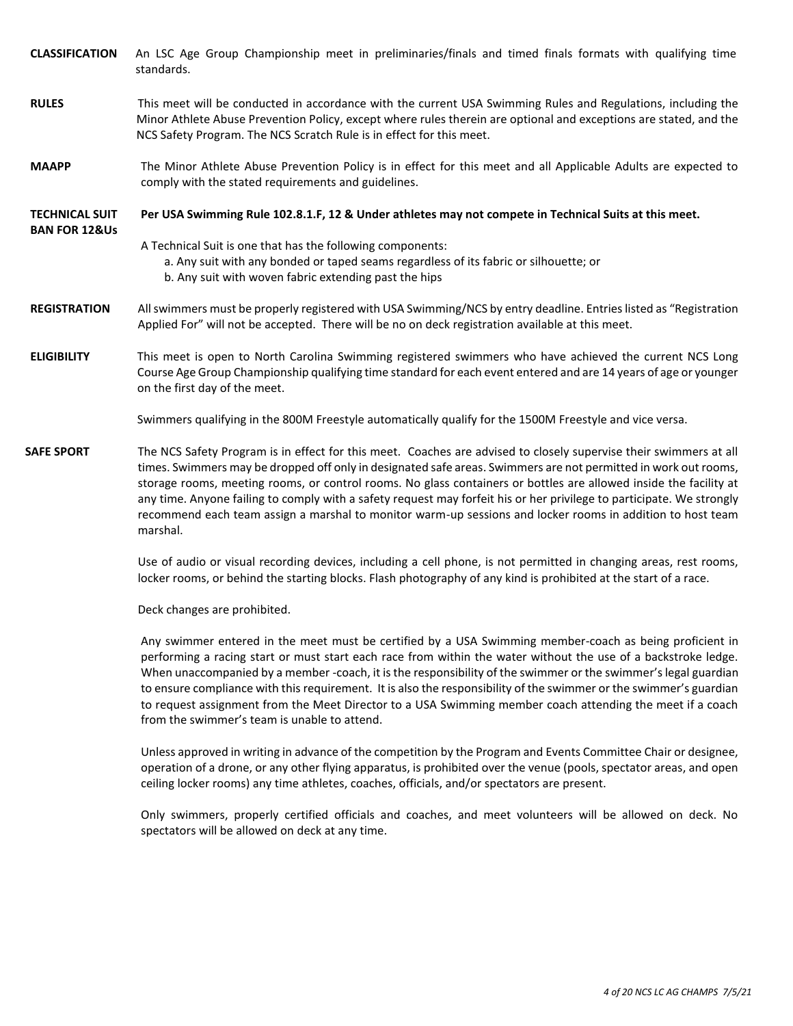**CLASSIFICATION** An LSC Age Group Championship meet in preliminaries/finals and timed finals formats with qualifying time standards.

- **RULES** This meet will be conducted in accordance with the current USA Swimming Rules and Regulations, including the Minor Athlete Abuse Prevention Policy, except where rules therein are optional and exceptions are stated, and the NCS Safety Program. The NCS Scratch Rule is in effect for this meet.
- **MAAPP** The Minor Athlete Abuse Prevention Policy is in effect for this meet and all Applicable Adults are expected to comply with the stated requirements and guidelines.
- **TECHNICAL SUIT Per USA Swimming Rule 102.8.1.F, 12 & Under athletes may not compete in Technical Suits at this meet.**
- **BAN FOR 12&Us**

A Technical Suit is one that has the following components:

- a. Any suit with any bonded or taped seams regardless of its fabric or silhouette; or
- b. Any suit with woven fabric extending past the hips
- **REGISTRATION** All swimmers must be properly registered with USA Swimming/NCS by entry deadline. Entries listed as "Registration Applied For" will not be accepted. There will be no on deck registration available at this meet.
- **ELIGIBILITY** This meet is open to North Carolina Swimming registered swimmers who have achieved the current NCS Long Course Age Group Championship qualifying time standard for each event entered and are 14 years of age or younger on the first day of the meet.

Swimmers qualifying in the 800M Freestyle automatically qualify for the 1500M Freestyle and vice versa.

**SAFE SPORT** The NCS Safety Program is in effect for this meet. Coaches are advised to closely supervise their swimmers at all times. Swimmers may be dropped off only in designated safe areas. Swimmers are not permitted in work out rooms, storage rooms, meeting rooms, or control rooms. No glass containers or bottles are allowed inside the facility at any time. Anyone failing to comply with a safety request may forfeit his or her privilege to participate. We strongly recommend each team assign a marshal to monitor warm-up sessions and locker rooms in addition to host team marshal.

> Use of audio or visual recording devices, including a cell phone, is not permitted in changing areas, rest rooms, locker rooms, or behind the starting blocks. Flash photography of any kind is prohibited at the start of a race.

Deck changes are prohibited.

Any swimmer entered in the meet must be certified by a USA Swimming member-coach as being proficient in performing a racing start or must start each race from within the water without the use of a backstroke ledge. When unaccompanied by a member -coach, it is the responsibility of the swimmer or the swimmer's legal guardian to ensure compliance with this requirement. It is also the responsibility of the swimmer or the swimmer's guardian to request assignment from the Meet Director to a USA Swimming member coach attending the meet if a coach from the swimmer's team is unable to attend.

Unless approved in writing in advance of the competition by the Program and Events Committee Chair or designee, operation of a drone, or any other flying apparatus, is prohibited over the venue (pools, spectator areas, and open ceiling locker rooms) any time athletes, coaches, officials, and/or spectators are present.

Only swimmers, properly certified officials and coaches, and meet volunteers will be allowed on deck. No spectators will be allowed on deck at any time.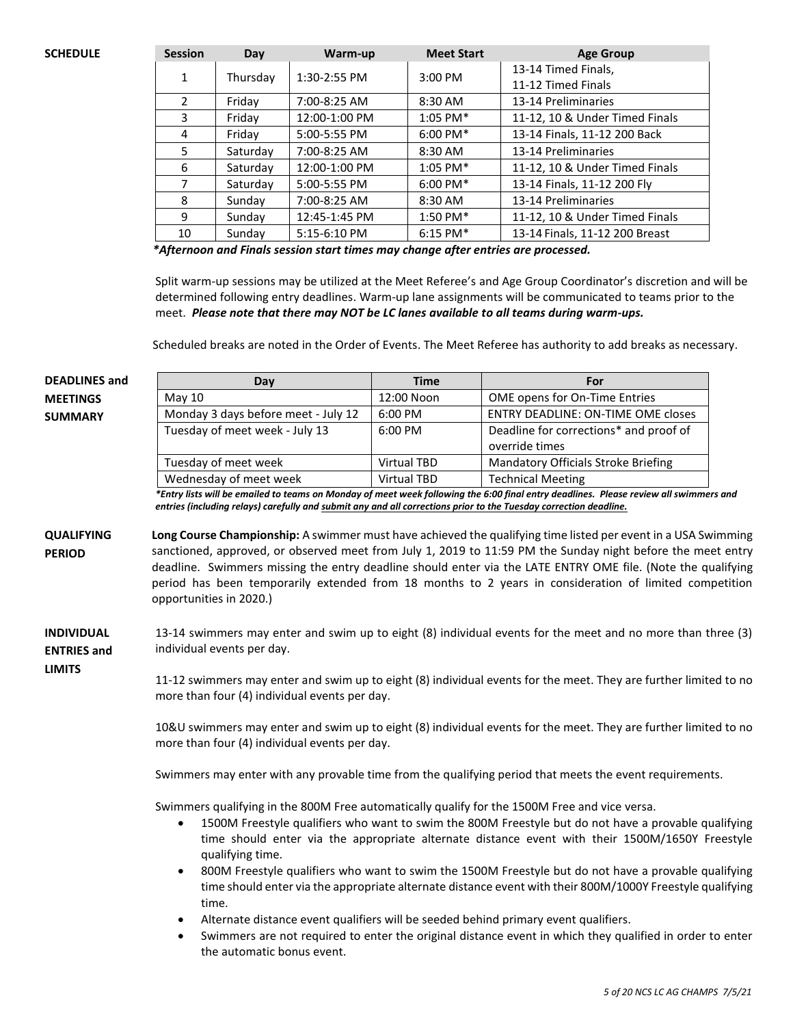| <b>SCHEDULE</b> | <b>Session</b> | Day      | Warm-up        | <b>Meet Start</b>  | <b>Age Group</b>               |
|-----------------|----------------|----------|----------------|--------------------|--------------------------------|
|                 | 1              | Thursday | $1:30-2:55$ PM | $3:00$ PM          | 13-14 Timed Finals,            |
|                 |                |          |                |                    | 11-12 Timed Finals             |
|                 |                | Friday   | 7:00-8:25 AM   | 8:30 AM            | 13-14 Preliminaries            |
|                 | 3              | Friday   | 12:00-1:00 PM  | $1:05$ PM*         | 11-12, 10 & Under Timed Finals |
|                 | 4              | Friday   | 5:00-5:55 PM   | $6:00 \text{ PM*}$ | 13-14 Finals, 11-12 200 Back   |
|                 | 5              | Saturday | 7:00-8:25 AM   | 8:30 AM            | 13-14 Preliminaries            |
|                 | 6              | Saturday | 12:00-1:00 PM  | $1:05$ PM*         | 11-12, 10 & Under Timed Finals |
|                 |                | Saturday | 5:00-5:55 PM   | $6:00$ PM*         | 13-14 Finals, 11-12 200 Fly    |
|                 | 8              | Sunday   | 7:00-8:25 AM   | 8:30 AM            | 13-14 Preliminaries            |
|                 | 9              | Sunday   | 12:45-1:45 PM  | $1:50 \text{ PM*}$ | 11-12, 10 & Under Timed Finals |
|                 | 10             | Sunday   | 5:15-6:10 PM   | $6:15$ PM*         | 13-14 Finals, 11-12 200 Breast |

*\*Afternoon and Finals session start times may change after entries are processed.*

Split warm-up sessions may be utilized at the Meet Referee's and Age Group Coordinator's discretion and will be determined following entry deadlines. Warm-up lane assignments will be communicated to teams prior to the meet. *Please note that there may NOT be LC lanes available to all teams during warm-ups.*

Scheduled breaks are noted in the Order of Events. The Meet Referee has authority to add breaks as necessary.

#### **DEADLINES and MEETINGS SUMMARY Day Time For** May 10 12:00 Noon | OME opens for On-Time Entries Monday 3 days before meet - July 12 | 6:00 PM | ENTRY DEADLINE: ON-TIME OME closes Tuesday of meet week - July 13 6:00 PM Deadline for corrections\* and proof of override times Tuesday of meet week Virtual TBD Mandatory Officials Stroke Briefing Wednesday of meet week  $\qquad \qquad \vert$  Virtual TBD  $\qquad \vert$  Technical Meeting *\*Entry lists will be emailed to teams on Monday of meet week following the 6:00 final entry deadlines. Please review all swimmers and entries (including relays) carefully and submit any and all corrections prior to the Tuesday correction deadline.* **QUALIFYING PERIOD Long Course Championship:** A swimmer must have achieved the qualifying time listed per event in a USA Swimming sanctioned, approved, or observed meet from July 1, 2019 to 11:59 PM the Sunday night before the meet entry deadline. Swimmers missing the entry deadline should enter via the LATE ENTRY OME file. (Note the qualifying period has been temporarily extended from 18 months to 2 years in consideration of limited competition opportunities in 2020.) **INDIVIDUAL ENTRIES and LIMITS** 13-14 swimmers may enter and swim up to eight (8) individual events for the meet and no more than three (3) individual events per day. 11-12 swimmers may enter and swim up to eight (8) individual events for the meet. They are further limited to no more than four (4) individual events per day. 10&U swimmers may enter and swim up to eight (8) individual events for the meet. They are further limited to no more than four (4) individual events per day. Swimmers may enter with any provable time from the qualifying period that meets the event requirements. Swimmers qualifying in the 800M Free automatically qualify for the 1500M Free and vice versa. • 1500M Freestyle qualifiers who want to swim the 800M Freestyle but do not have a provable qualifying time should enter via the appropriate alternate distance event with their 1500M/1650Y Freestyle qualifying time. • 800M Freestyle qualifiers who want to swim the 1500M Freestyle but do not have a provable qualifying time should enter via the appropriate alternate distance event with their 800M/1000Y Freestyle qualifying time. • Alternate distance event qualifiers will be seeded behind primary event qualifiers. Swimmers are not required to enter the original distance event in which they qualified in order to enter the automatic bonus event.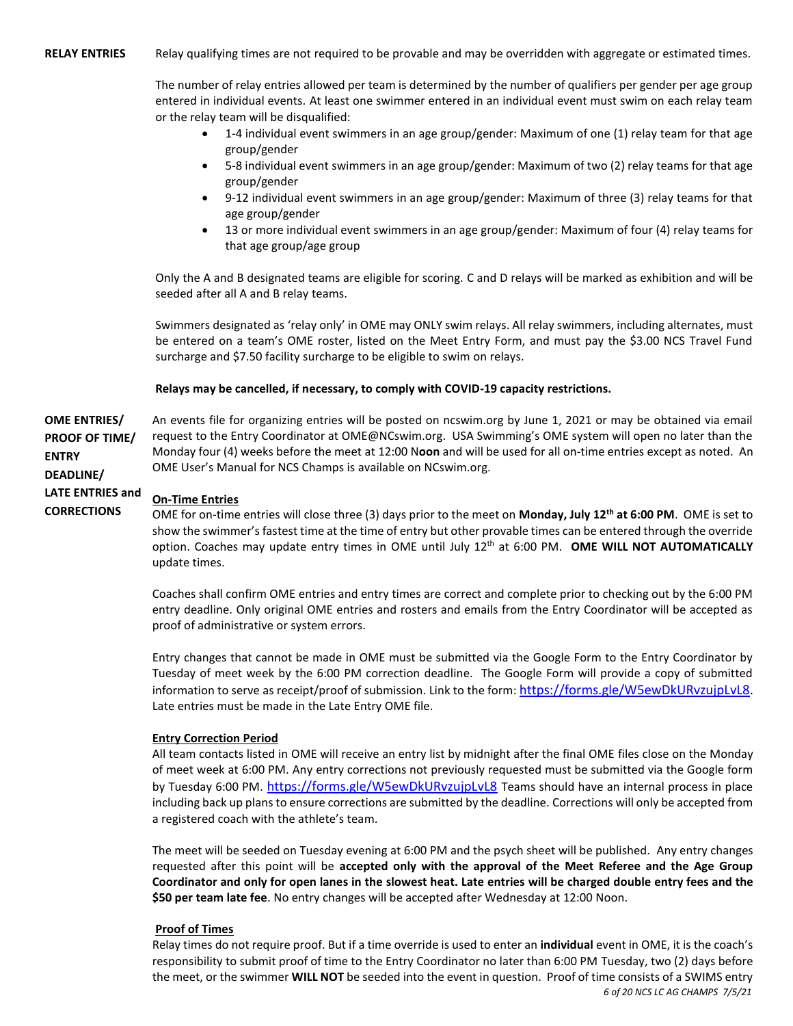**RELAY ENTRIES** Relay qualifying times are not required to be provable and may be overridden with aggregate or estimated times.

The number of relay entries allowed per team is determined by the number of qualifiers per gender per age group entered in individual events. At least one swimmer entered in an individual event must swim on each relay team or the relay team will be disqualified:

- 1-4 individual event swimmers in an age group/gender: Maximum of one (1) relay team for that age group/gender
- 5-8 individual event swimmers in an age group/gender: Maximum of two (2) relay teams for that age group/gender
- 9-12 individual event swimmers in an age group/gender: Maximum of three (3) relay teams for that age group/gender
- 13 or more individual event swimmers in an age group/gender: Maximum of four (4) relay teams for that age group/age group

Only the A and B designated teams are eligible for scoring. C and D relays will be marked as exhibition and will be seeded after all A and B relay teams.

Swimmers designated as 'relay only' in OME may ONLY swim relays. All relay swimmers, including alternates, must be entered on a team's OME roster, listed on the Meet Entry Form, and must pay the \$3.00 NCS Travel Fund surcharge and \$7.50 facility surcharge to be eligible to swim on relays.

#### **Relays may be cancelled, if necessary, to comply with COVID-19 capacity restrictions.**

**OME ENTRIES/ PROOF OF TIME/ ENTRY DEADLINE/** An events file for organizing entries will be posted on ncswim.org by June 1, 2021 or may be obtained via email request to the Entry Coordinator at OME@NCswim.org. USA Swimming's OME system will open no later than the Monday four (4) weeks before the meet at 12:00 N**oon** and will be used for all on-time entries except as noted.An OME User's Manual for NCS Champs is available on NCswim.org.

#### **LATE ENTRIES and On-Time Entries**

**CORRECTIONS**

OME for on-time entries will close three (3) days prior to the meet on **Monday, July 12th at 6:00 PM**. OME is set to show the swimmer's fastest time at the time of entry but other provable times can be entered through the override option. Coaches may update entry times in OME until July 12th at 6:00 PM. **OME WILL NOT AUTOMATICALLY** update times.

Coaches shall confirm OME entries and entry times are correct and complete prior to checking out by the 6:00 PM entry deadline. Only original OME entries and rosters and emails from the Entry Coordinator will be accepted as proof of administrative or system errors.

Entry changes that cannot be made in OME must be submitted via the Google Form to the Entry Coordinator by Tuesday of meet week by the 6:00 PM correction deadline. The Google Form will provide a copy of submitted information to serve as receipt/proof of submission. Link to the form: [https://forms.gle/W5ewDkURvzujpLvL8.](https://forms.gle/W5ewDkURvzujpLvL8) Late entries must be made in the Late Entry OME file.

#### **Entry Correction Period**

All team contacts listed in OME will receive an entry list by midnight after the final OME files close on the Monday of meet week at 6:00 PM. Any entry corrections not previously requested must be submitted via the Google form by Tuesday 6:00 PM. <https://forms.gle/W5ewDkURvzujpLvL8> Teams should have an internal process in place including back up plans to ensure corrections are submitted by the deadline. Corrections will only be accepted from a registered coach with the athlete's team.

The meet will be seeded on Tuesday evening at 6:00 PM and the psych sheet will be published. Any entry changes requested after this point will be **accepted only with the approval of the Meet Referee and the Age Group Coordinator and only for open lanes in the slowest heat. Late entries will be charged double entry fees and the \$50 per team late fee**. No entry changes will be accepted after Wednesday at 12:00 Noon.

#### **Proof of Times**

*6 of 20 NCS LC AG CHAMPS 7/5/21* Relay times do not require proof. But if a time override is used to enter an **individual** event in OME, it is the coach's responsibility to submit proof of time to the Entry Coordinator no later than 6:00 PM Tuesday, two (2) days before the meet, or the swimmer **WILL NOT** be seeded into the event in question. Proof of time consists of a SWIMS entry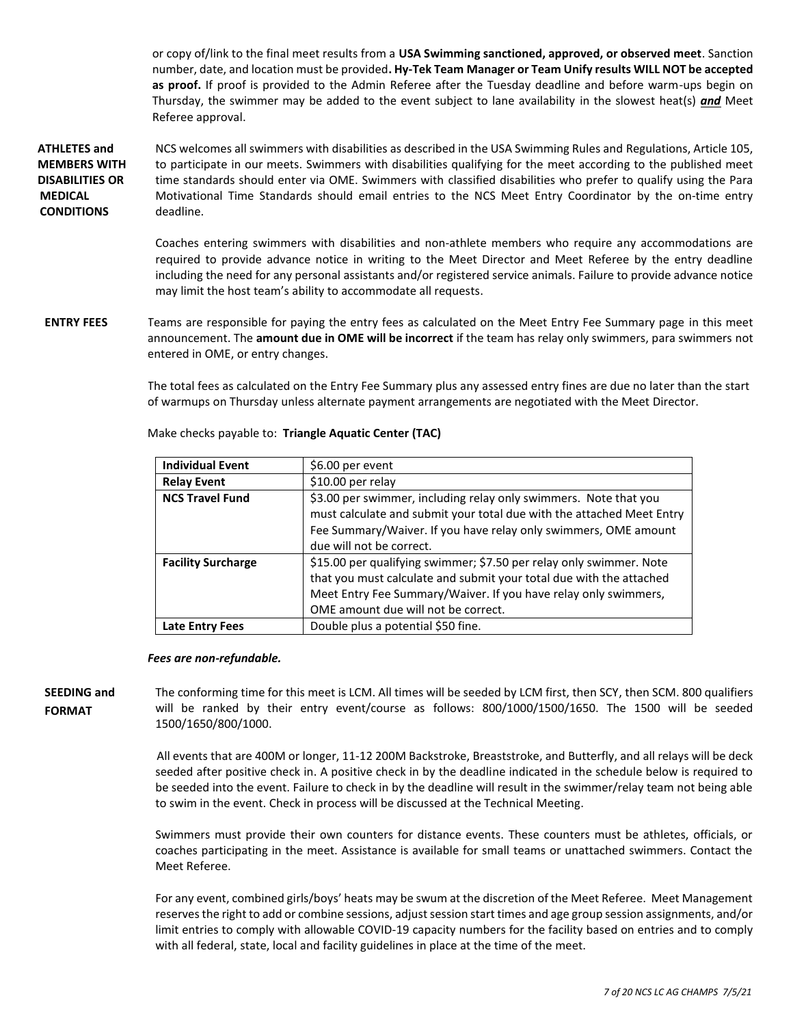or copy of/link to the final meet results from a **USA Swimming sanctioned, approved, or observed meet**. Sanction number, date, and location must be provided**. Hy-Tek Team Manager or Team Unify results WILL NOT be accepted as proof.** If proof is provided to the Admin Referee after the Tuesday deadline and before warm-ups begin on Thursday, the swimmer may be added to the event subject to lane availability in the slowest heat(s) *and* Meet Referee approval.

**ATHLETES and MEMBERS WITH DISABILITIES OR MEDICAL CONDITIONS** NCS welcomes all swimmers with disabilities as described in the USA Swimming Rules and Regulations, Article 105, to participate in our meets. Swimmers with disabilities qualifying for the meet according to the published meet time standards should enter via OME. Swimmers with classified disabilities who prefer to qualify using the Para Motivational Time Standards should email entries to the NCS Meet Entry Coordinator by the on-time entry deadline.

> Coaches entering swimmers with disabilities and non-athlete members who require any accommodations are required to provide advance notice in writing to the Meet Director and Meet Referee by the entry deadline including the need for any personal assistants and/or registered service animals. Failure to provide advance notice may limit the host team's ability to accommodate all requests.

**ENTRY FEES** Teams are responsible for paying the entry fees as calculated on the Meet Entry Fee Summary page in this meet announcement. The **amount due in OME will be incorrect** if the team has relay only swimmers, para swimmers not entered in OME, or entry changes.

> The total fees as calculated on the Entry Fee Summary plus any assessed entry fines are due no later than the start of warmups on Thursday unless alternate payment arrangements are negotiated with the Meet Director.

| <b>Individual Event</b>   | \$6.00 per event                                                                                                                                                                                                                                     |
|---------------------------|------------------------------------------------------------------------------------------------------------------------------------------------------------------------------------------------------------------------------------------------------|
| <b>Relay Event</b>        | \$10.00 per relay                                                                                                                                                                                                                                    |
| <b>NCS Travel Fund</b>    | \$3.00 per swimmer, including relay only swimmers. Note that you<br>must calculate and submit your total due with the attached Meet Entry<br>Fee Summary/Waiver. If you have relay only swimmers, OME amount                                         |
|                           | due will not be correct.                                                                                                                                                                                                                             |
| <b>Facility Surcharge</b> | \$15.00 per qualifying swimmer; \$7.50 per relay only swimmer. Note<br>that you must calculate and submit your total due with the attached<br>Meet Entry Fee Summary/Waiver. If you have relay only swimmers,<br>OME amount due will not be correct. |
| Late Entry Fees           | Double plus a potential \$50 fine.                                                                                                                                                                                                                   |

Make checks payable to: **Triangle Aquatic Center (TAC)**

#### *Fees are non-refundable.*

**SEEDING and FORMAT**  The conforming time for this meet is LCM. All times will be seeded by LCM first, then SCY, then SCM. 800 qualifiers will be ranked by their entry event/course as follows: 800/1000/1500/1650. The 1500 will be seeded 1500/1650/800/1000.

> All events that are 400M or longer, 11-12 200M Backstroke, Breaststroke, and Butterfly, and all relays will be deck seeded after positive check in. A positive check in by the deadline indicated in the schedule below is required to be seeded into the event. Failure to check in by the deadline will result in the swimmer/relay team not being able to swim in the event. Check in process will be discussed at the Technical Meeting.

> Swimmers must provide their own counters for distance events. These counters must be athletes, officials, or coaches participating in the meet. Assistance is available for small teams or unattached swimmers. Contact the Meet Referee.

> For any event, combined girls/boys' heats may be swum at the discretion of the Meet Referee. Meet Management reserves the right to add or combine sessions, adjust session start times and age group session assignments, and/or limit entries to comply with allowable COVID-19 capacity numbers for the facility based on entries and to comply with all federal, state, local and facility guidelines in place at the time of the meet.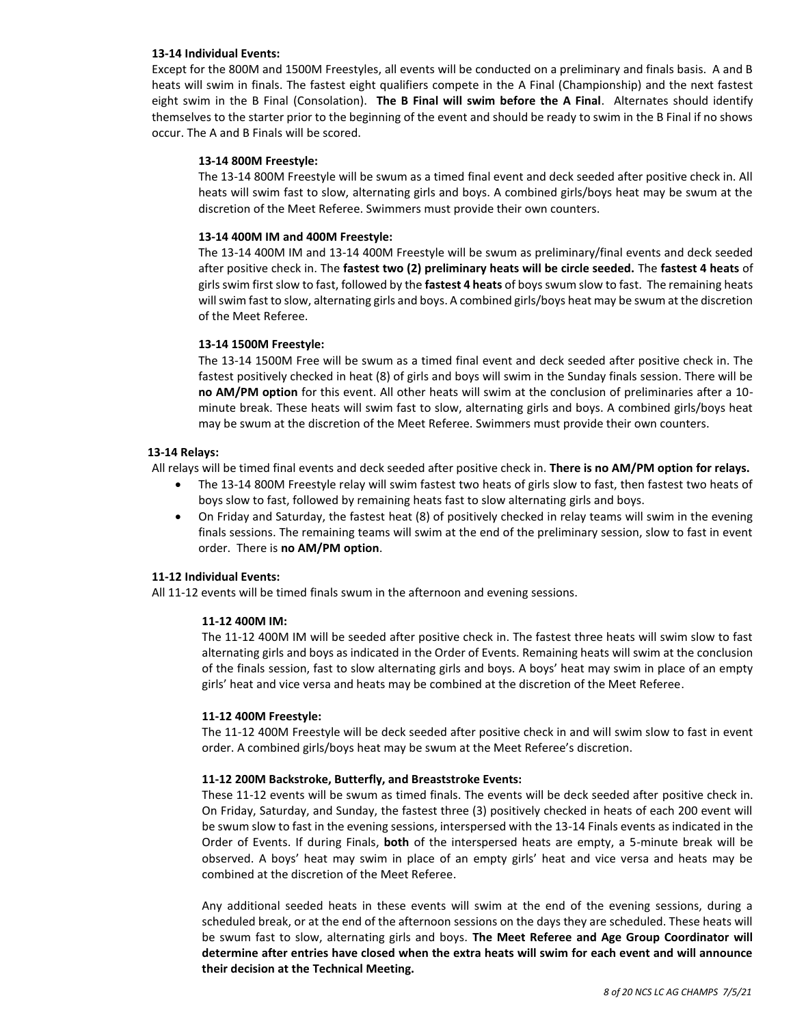#### **13-14 Individual Events:**

Except for the 800M and 1500M Freestyles, all events will be conducted on a preliminary and finals basis. A and B heats will swim in finals. The fastest eight qualifiers compete in the A Final (Championship) and the next fastest eight swim in the B Final (Consolation). **The B Final will swim before the A Final**. Alternates should identify themselves to the starter prior to the beginning of the event and should be ready to swim in the B Final if no shows occur. The A and B Finals will be scored.

#### **13-14 800M Freestyle:**

The 13-14 800M Freestyle will be swum as a timed final event and deck seeded after positive check in. All heats will swim fast to slow, alternating girls and boys. A combined girls/boys heat may be swum at the discretion of the Meet Referee. Swimmers must provide their own counters.

#### **13-14 400M IM and 400M Freestyle:**

The 13-14 400M IM and 13-14 400M Freestyle will be swum as preliminary/final events and deck seeded after positive check in. The **fastest two (2) preliminary heats will be circle seeded.** The **fastest 4 heats** of girls swim first slow to fast, followed by the **fastest 4 heats** of boys swum slow to fast. The remaining heats will swim fast to slow, alternating girls and boys. A combined girls/boys heat may be swum at the discretion of the Meet Referee.

#### **13-14 1500M Freestyle:**

The 13-14 1500M Free will be swum as a timed final event and deck seeded after positive check in. The fastest positively checked in heat (8) of girls and boys will swim in the Sunday finals session. There will be **no AM/PM option** for this event. All other heats will swim at the conclusion of preliminaries after a 10 minute break. These heats will swim fast to slow, alternating girls and boys. A combined girls/boys heat may be swum at the discretion of the Meet Referee. Swimmers must provide their own counters.

#### **13-14 Relays:**

All relays will be timed final events and deck seeded after positive check in. **There is no AM/PM option for relays.**

- The 13-14 800M Freestyle relay will swim fastest two heats of girls slow to fast, then fastest two heats of boys slow to fast, followed by remaining heats fast to slow alternating girls and boys.
- On Friday and Saturday, the fastest heat (8) of positively checked in relay teams will swim in the evening finals sessions. The remaining teams will swim at the end of the preliminary session, slow to fast in event order. There is **no AM/PM option**.

#### **11-12 Individual Events:**

All 11-12 events will be timed finals swum in the afternoon and evening sessions.

#### **11-12 400M IM:**

The 11-12 400M IM will be seeded after positive check in. The fastest three heats will swim slow to fast alternating girls and boys as indicated in the Order of Events. Remaining heats will swim at the conclusion of the finals session, fast to slow alternating girls and boys. A boys' heat may swim in place of an empty girls' heat and vice versa and heats may be combined at the discretion of the Meet Referee.

#### **11-12 400M Freestyle:**

The 11-12 400M Freestyle will be deck seeded after positive check in and will swim slow to fast in event order. A combined girls/boys heat may be swum at the Meet Referee's discretion.

#### **11-12 200M Backstroke, Butterfly, and Breaststroke Events:**

These 11-12 events will be swum as timed finals. The events will be deck seeded after positive check in. On Friday, Saturday, and Sunday, the fastest three (3) positively checked in heats of each 200 event will be swum slow to fast in the evening sessions, interspersed with the 13-14 Finals events as indicated in the Order of Events. If during Finals, **both** of the interspersed heats are empty, a 5-minute break will be observed. A boys' heat may swim in place of an empty girls' heat and vice versa and heats may be combined at the discretion of the Meet Referee.

Any additional seeded heats in these events will swim at the end of the evening sessions, during a scheduled break, or at the end of the afternoon sessions on the days they are scheduled. These heats will be swum fast to slow, alternating girls and boys. **The Meet Referee and Age Group Coordinator will determine after entries have closed when the extra heats will swim for each event and will announce their decision at the Technical Meeting.**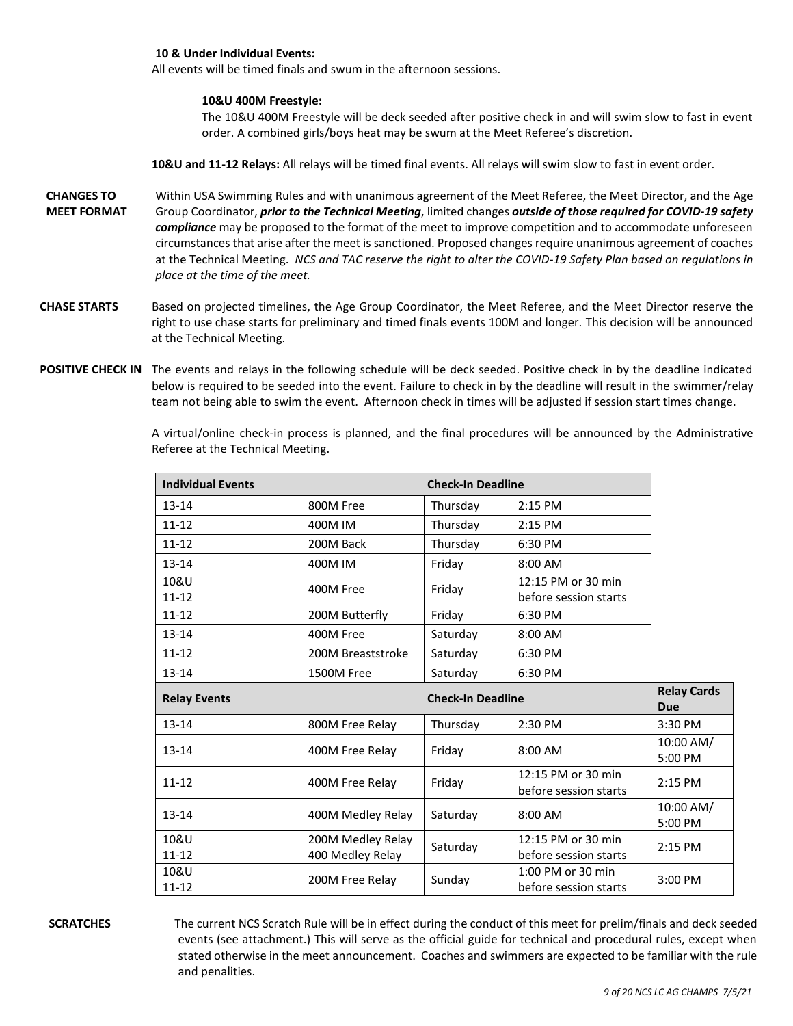#### **10 & Under Individual Events:**

All events will be timed finals and swum in the afternoon sessions.

#### **10&U 400M Freestyle:**

The 10&U 400M Freestyle will be deck seeded after positive check in and will swim slow to fast in event order. A combined girls/boys heat may be swum at the Meet Referee's discretion.

**10&U and 11-12 Relays:** All relays will be timed final events. All relays will swim slow to fast in event order.

- **CHANGES TO MEET FORMAT**  Within USA Swimming Rules and with unanimous agreement of the Meet Referee, the Meet Director, and the Age Group Coordinator, *prior to the Technical Meeting*, limited changes *outside of those required for COVID-19 safety compliance* may be proposed to the format of the meet to improve competition and to accommodate unforeseen circumstances that arise after the meet is sanctioned. Proposed changes require unanimous agreement of coaches at the Technical Meeting. *NCS and TAC reserve the right to alter the COVID-19 Safety Plan based on regulations in place at the time of the meet.*
- **CHASE STARTS** Based on projected timelines, the Age Group Coordinator, the Meet Referee, and the Meet Director reserve the right to use chase starts for preliminary and timed finals events 100M and longer. This decision will be announced at the Technical Meeting.
- POSITIVE CHECK IN The events and relays in the following schedule will be deck seeded. Positive check in by the deadline indicated below is required to be seeded into the event. Failure to check in by the deadline will result in the swimmer/relay team not being able to swim the event. Afternoon check in times will be adjusted if session start times change.

A virtual/online check-in process is planned, and the final procedures will be announced by the Administrative Referee at the Technical Meeting.

| <b>Individual Events</b> |                                       |                          |                                             |                                  |
|--------------------------|---------------------------------------|--------------------------|---------------------------------------------|----------------------------------|
| $13 - 14$                | 800M Free                             | Thursday                 | 2:15 PM                                     |                                  |
| $11 - 12$                | 400M IM                               | Thursday                 | 2:15 PM                                     |                                  |
| $11 - 12$                | 200M Back                             | Thursday                 | 6:30 PM                                     |                                  |
| $13 - 14$                | 400M IM                               | Friday                   | 8:00 AM                                     |                                  |
| 10&U<br>$11 - 12$        | 400M Free                             | Friday                   | 12:15 PM or 30 min<br>before session starts |                                  |
| $11 - 12$                | 200M Butterfly                        | Friday                   | 6:30 PM                                     |                                  |
| $13 - 14$                | 400M Free                             | Saturday                 | 8:00 AM                                     |                                  |
| $11 - 12$                | 200M Breaststroke                     | Saturday                 | 6:30 PM                                     |                                  |
| $13 - 14$                | 1500M Free                            | Saturday                 | 6:30 PM                                     |                                  |
|                          |                                       |                          |                                             |                                  |
| <b>Relay Events</b>      |                                       | <b>Check-In Deadline</b> |                                             | <b>Relay Cards</b><br><b>Due</b> |
| $13 - 14$                | 800M Free Relay                       | Thursday                 | 2:30 PM                                     | 3:30 PM                          |
| $13 - 14$                | 400M Free Relay                       | Friday                   | 8:00 AM                                     | 10:00 AM/<br>5:00 PM             |
| $11 - 12$                | 400M Free Relay                       | Friday                   | 12:15 PM or 30 min<br>before session starts | 2:15 PM                          |
| $13 - 14$                | 400M Medley Relay                     | Saturday                 | 8:00 AM                                     | 10:00 AM/<br>5:00 PM             |
| 10&U<br>$11 - 12$        | 200M Medley Relay<br>400 Medley Relay | Saturday                 | 12:15 PM or 30 min<br>before session starts | 2:15 PM                          |

**SCRATCHES** The current NCS Scratch Rule will be in effect during the conduct of this meet for prelim/finals and deck seeded events (see attachment.) This will serve as the official guide for technical and procedural rules, except when stated otherwise in the meet announcement. Coaches and swimmers are expected to be familiar with the rule and penalities.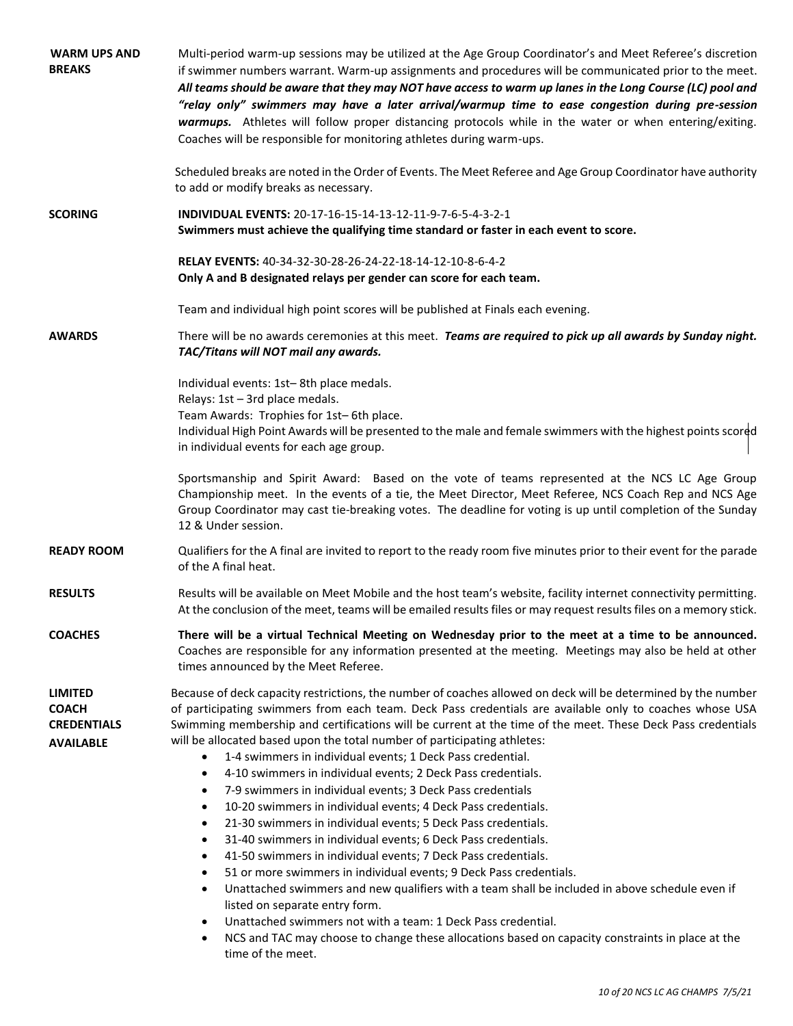| <b>WARM UPS AND</b><br><b>BREAKS</b>                                     | Multi-period warm-up sessions may be utilized at the Age Group Coordinator's and Meet Referee's discretion<br>if swimmer numbers warrant. Warm-up assignments and procedures will be communicated prior to the meet.<br>All teams should be aware that they may NOT have access to warm up lanes in the Long Course (LC) pool and<br>"relay only" swimmers may have a later arrival/warmup time to ease congestion during pre-session<br>warmups. Athletes will follow proper distancing protocols while in the water or when entering/exiting.<br>Coaches will be responsible for monitoring athletes during warm-ups.                                                                                                                                                                                                                                                                                                                                                                                                                                                                                                                                                                                                                                                                                                                                                                                               |
|--------------------------------------------------------------------------|-----------------------------------------------------------------------------------------------------------------------------------------------------------------------------------------------------------------------------------------------------------------------------------------------------------------------------------------------------------------------------------------------------------------------------------------------------------------------------------------------------------------------------------------------------------------------------------------------------------------------------------------------------------------------------------------------------------------------------------------------------------------------------------------------------------------------------------------------------------------------------------------------------------------------------------------------------------------------------------------------------------------------------------------------------------------------------------------------------------------------------------------------------------------------------------------------------------------------------------------------------------------------------------------------------------------------------------------------------------------------------------------------------------------------|
|                                                                          | Scheduled breaks are noted in the Order of Events. The Meet Referee and Age Group Coordinator have authority<br>to add or modify breaks as necessary.                                                                                                                                                                                                                                                                                                                                                                                                                                                                                                                                                                                                                                                                                                                                                                                                                                                                                                                                                                                                                                                                                                                                                                                                                                                                 |
| <b>SCORING</b>                                                           | INDIVIDUAL EVENTS: 20-17-16-15-14-13-12-11-9-7-6-5-4-3-2-1<br>Swimmers must achieve the qualifying time standard or faster in each event to score.                                                                                                                                                                                                                                                                                                                                                                                                                                                                                                                                                                                                                                                                                                                                                                                                                                                                                                                                                                                                                                                                                                                                                                                                                                                                    |
|                                                                          | RELAY EVENTS: 40-34-32-30-28-26-24-22-18-14-12-10-8-6-4-2<br>Only A and B designated relays per gender can score for each team.                                                                                                                                                                                                                                                                                                                                                                                                                                                                                                                                                                                                                                                                                                                                                                                                                                                                                                                                                                                                                                                                                                                                                                                                                                                                                       |
|                                                                          | Team and individual high point scores will be published at Finals each evening.                                                                                                                                                                                                                                                                                                                                                                                                                                                                                                                                                                                                                                                                                                                                                                                                                                                                                                                                                                                                                                                                                                                                                                                                                                                                                                                                       |
| <b>AWARDS</b>                                                            | There will be no awards ceremonies at this meet. Teams are required to pick up all awards by Sunday night.<br>TAC/Titans will NOT mail any awards.                                                                                                                                                                                                                                                                                                                                                                                                                                                                                                                                                                                                                                                                                                                                                                                                                                                                                                                                                                                                                                                                                                                                                                                                                                                                    |
|                                                                          | Individual events: 1st-8th place medals.<br>Relays: 1st - 3rd place medals.<br>Team Awards: Trophies for 1st-6th place.<br>Individual High Point Awards will be presented to the male and female swimmers with the highest points scored<br>in individual events for each age group.                                                                                                                                                                                                                                                                                                                                                                                                                                                                                                                                                                                                                                                                                                                                                                                                                                                                                                                                                                                                                                                                                                                                  |
|                                                                          | Sportsmanship and Spirit Award: Based on the vote of teams represented at the NCS LC Age Group<br>Championship meet. In the events of a tie, the Meet Director, Meet Referee, NCS Coach Rep and NCS Age<br>Group Coordinator may cast tie-breaking votes. The deadline for voting is up until completion of the Sunday<br>12 & Under session.                                                                                                                                                                                                                                                                                                                                                                                                                                                                                                                                                                                                                                                                                                                                                                                                                                                                                                                                                                                                                                                                         |
| <b>READY ROOM</b>                                                        | Qualifiers for the A final are invited to report to the ready room five minutes prior to their event for the parade<br>of the A final heat.                                                                                                                                                                                                                                                                                                                                                                                                                                                                                                                                                                                                                                                                                                                                                                                                                                                                                                                                                                                                                                                                                                                                                                                                                                                                           |
| <b>RESULTS</b>                                                           | Results will be available on Meet Mobile and the host team's website, facility internet connectivity permitting.<br>At the conclusion of the meet, teams will be emailed results files or may request results files on a memory stick.                                                                                                                                                                                                                                                                                                                                                                                                                                                                                                                                                                                                                                                                                                                                                                                                                                                                                                                                                                                                                                                                                                                                                                                |
| <b>COACHES</b>                                                           | There will be a virtual Technical Meeting on Wednesday prior to the meet at a time to be announced.<br>Coaches are responsible for any information presented at the meeting. Meetings may also be held at other<br>times announced by the Meet Referee.                                                                                                                                                                                                                                                                                                                                                                                                                                                                                                                                                                                                                                                                                                                                                                                                                                                                                                                                                                                                                                                                                                                                                               |
| <b>LIMITED</b><br><b>COACH</b><br><b>CREDENTIALS</b><br><b>AVAILABLE</b> | Because of deck capacity restrictions, the number of coaches allowed on deck will be determined by the number<br>of participating swimmers from each team. Deck Pass credentials are available only to coaches whose USA<br>Swimming membership and certifications will be current at the time of the meet. These Deck Pass credentials<br>will be allocated based upon the total number of participating athletes:<br>1-4 swimmers in individual events; 1 Deck Pass credential.<br>$\bullet$<br>4-10 swimmers in individual events; 2 Deck Pass credentials.<br>$\bullet$<br>7-9 swimmers in individual events; 3 Deck Pass credentials<br>$\bullet$<br>10-20 swimmers in individual events; 4 Deck Pass credentials.<br>$\bullet$<br>21-30 swimmers in individual events; 5 Deck Pass credentials.<br>٠<br>31-40 swimmers in individual events; 6 Deck Pass credentials.<br>$\bullet$<br>41-50 swimmers in individual events; 7 Deck Pass credentials.<br>٠<br>51 or more swimmers in individual events; 9 Deck Pass credentials.<br>$\bullet$<br>Unattached swimmers and new qualifiers with a team shall be included in above schedule even if<br>$\bullet$<br>listed on separate entry form.<br>Unattached swimmers not with a team: 1 Deck Pass credential.<br>$\bullet$<br>NCS and TAC may choose to change these allocations based on capacity constraints in place at the<br>$\bullet$<br>time of the meet. |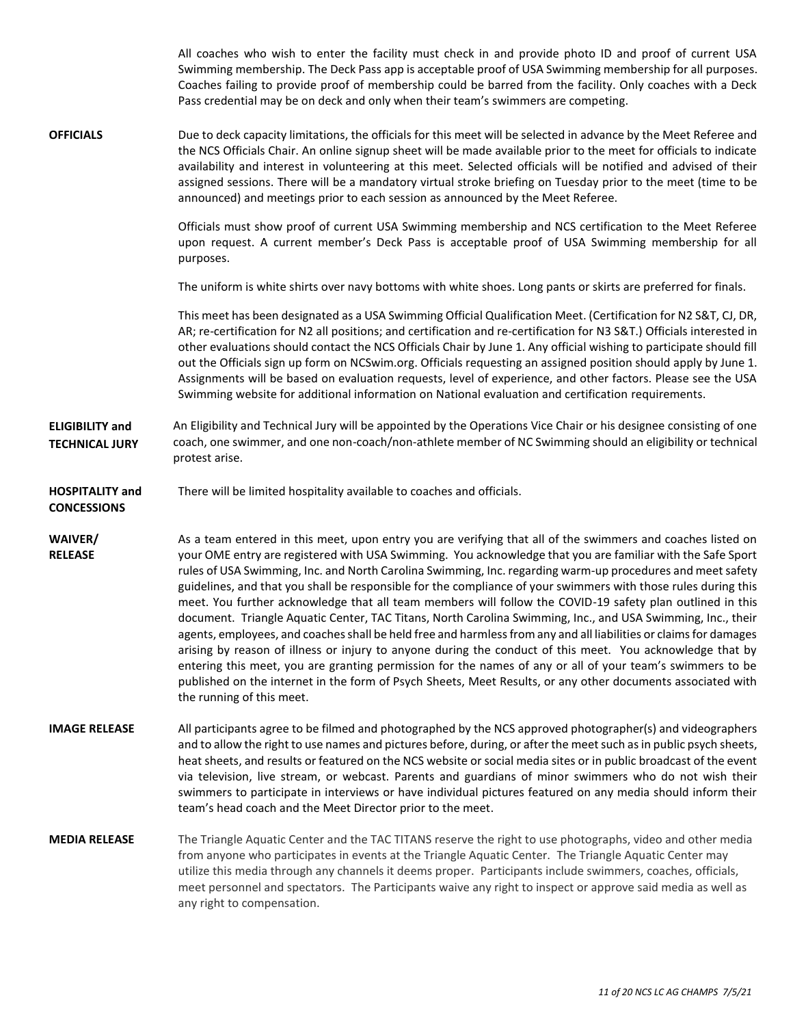|                                                 | All coaches who wish to enter the facility must check in and provide photo ID and proof of current USA<br>Swimming membership. The Deck Pass app is acceptable proof of USA Swimming membership for all purposes.<br>Coaches failing to provide proof of membership could be barred from the facility. Only coaches with a Deck<br>Pass credential may be on deck and only when their team's swimmers are competing.                                                                                                                                                                                                                                                                                                                                                                                                                                                                                                                                                                                                                                                                                                                                                             |
|-------------------------------------------------|----------------------------------------------------------------------------------------------------------------------------------------------------------------------------------------------------------------------------------------------------------------------------------------------------------------------------------------------------------------------------------------------------------------------------------------------------------------------------------------------------------------------------------------------------------------------------------------------------------------------------------------------------------------------------------------------------------------------------------------------------------------------------------------------------------------------------------------------------------------------------------------------------------------------------------------------------------------------------------------------------------------------------------------------------------------------------------------------------------------------------------------------------------------------------------|
| <b>OFFICIALS</b>                                | Due to deck capacity limitations, the officials for this meet will be selected in advance by the Meet Referee and<br>the NCS Officials Chair. An online signup sheet will be made available prior to the meet for officials to indicate<br>availability and interest in volunteering at this meet. Selected officials will be notified and advised of their<br>assigned sessions. There will be a mandatory virtual stroke briefing on Tuesday prior to the meet (time to be<br>announced) and meetings prior to each session as announced by the Meet Referee.                                                                                                                                                                                                                                                                                                                                                                                                                                                                                                                                                                                                                  |
|                                                 | Officials must show proof of current USA Swimming membership and NCS certification to the Meet Referee<br>upon request. A current member's Deck Pass is acceptable proof of USA Swimming membership for all<br>purposes.                                                                                                                                                                                                                                                                                                                                                                                                                                                                                                                                                                                                                                                                                                                                                                                                                                                                                                                                                         |
|                                                 | The uniform is white shirts over navy bottoms with white shoes. Long pants or skirts are preferred for finals.                                                                                                                                                                                                                                                                                                                                                                                                                                                                                                                                                                                                                                                                                                                                                                                                                                                                                                                                                                                                                                                                   |
|                                                 | This meet has been designated as a USA Swimming Official Qualification Meet. (Certification for N2 S&T, CJ, DR,<br>AR; re-certification for N2 all positions; and certification and re-certification for N3 S&T.) Officials interested in<br>other evaluations should contact the NCS Officials Chair by June 1. Any official wishing to participate should fill<br>out the Officials sign up form on NCSwim.org. Officials requesting an assigned position should apply by June 1.<br>Assignments will be based on evaluation requests, level of experience, and other factors. Please see the USA<br>Swimming website for additional information on National evaluation and certification requirements.                                                                                                                                                                                                                                                                                                                                                                                                                                                                        |
| <b>ELIGIBILITY and</b><br><b>TECHNICAL JURY</b> | An Eligibility and Technical Jury will be appointed by the Operations Vice Chair or his designee consisting of one<br>coach, one swimmer, and one non-coach/non-athlete member of NC Swimming should an eligibility or technical<br>protest arise.                                                                                                                                                                                                                                                                                                                                                                                                                                                                                                                                                                                                                                                                                                                                                                                                                                                                                                                               |
| <b>HOSPITALITY and</b><br><b>CONCESSIONS</b>    | There will be limited hospitality available to coaches and officials.                                                                                                                                                                                                                                                                                                                                                                                                                                                                                                                                                                                                                                                                                                                                                                                                                                                                                                                                                                                                                                                                                                            |
| WAIVER/<br><b>RELEASE</b>                       | As a team entered in this meet, upon entry you are verifying that all of the swimmers and coaches listed on<br>your OME entry are registered with USA Swimming. You acknowledge that you are familiar with the Safe Sport<br>rules of USA Swimming, Inc. and North Carolina Swimming, Inc. regarding warm-up procedures and meet safety<br>guidelines, and that you shall be responsible for the compliance of your swimmers with those rules during this<br>meet. You further acknowledge that all team members will follow the COVID-19 safety plan outlined in this<br>document. Triangle Aquatic Center, TAC Titans, North Carolina Swimming, Inc., and USA Swimming, Inc., their<br>agents, employees, and coaches shall be held free and harmless from any and all liabilities or claims for damages<br>arising by reason of illness or injury to anyone during the conduct of this meet. You acknowledge that by<br>entering this meet, you are granting permission for the names of any or all of your team's swimmers to be<br>published on the internet in the form of Psych Sheets, Meet Results, or any other documents associated with<br>the running of this meet. |
| <b>IMAGE RELEASE</b>                            | All participants agree to be filmed and photographed by the NCS approved photographer(s) and videographers<br>and to allow the right to use names and pictures before, during, or after the meet such as in public psych sheets,<br>heat sheets, and results or featured on the NCS website or social media sites or in public broadcast of the event<br>via television, live stream, or webcast. Parents and guardians of minor swimmers who do not wish their<br>swimmers to participate in interviews or have individual pictures featured on any media should inform their<br>team's head coach and the Meet Director prior to the meet.                                                                                                                                                                                                                                                                                                                                                                                                                                                                                                                                     |
| <b>MEDIA RELEASE</b>                            | The Triangle Aquatic Center and the TAC TITANS reserve the right to use photographs, video and other media<br>from anyone who participates in events at the Triangle Aquatic Center. The Triangle Aquatic Center may<br>utilize this media through any channels it deems proper. Participants include swimmers, coaches, officials,<br>meet personnel and spectators. The Participants waive any right to inspect or approve said media as well as<br>any right to compensation.                                                                                                                                                                                                                                                                                                                                                                                                                                                                                                                                                                                                                                                                                                 |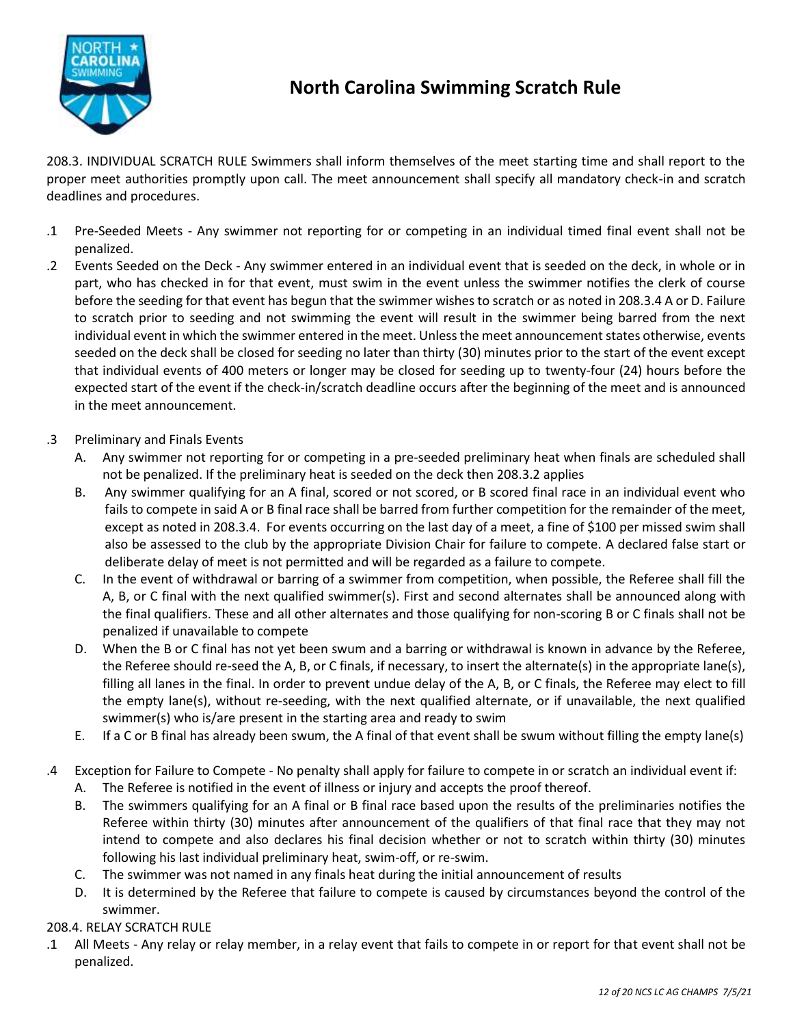

### **North Carolina Swimming Scratch Rule**

208.3. INDIVIDUAL SCRATCH RULE Swimmers shall inform themselves of the meet starting time and shall report to the proper meet authorities promptly upon call. The meet announcement shall specify all mandatory check-in and scratch deadlines and procedures.

- .1 Pre-Seeded Meets Any swimmer not reporting for or competing in an individual timed final event shall not be penalized.
- .2 Events Seeded on the Deck Any swimmer entered in an individual event that is seeded on the deck, in whole or in part, who has checked in for that event, must swim in the event unless the swimmer notifies the clerk of course before the seeding for that event has begun that the swimmer wishes to scratch or as noted in 208.3.4 A or D. Failure to scratch prior to seeding and not swimming the event will result in the swimmer being barred from the next individual event in which the swimmer entered in the meet. Unless the meet announcement states otherwise, events seeded on the deck shall be closed for seeding no later than thirty (30) minutes prior to the start of the event except that individual events of 400 meters or longer may be closed for seeding up to twenty-four (24) hours before the expected start of the event if the check-in/scratch deadline occurs after the beginning of the meet and is announced in the meet announcement.
- .3 Preliminary and Finals Events
	- A. Any swimmer not reporting for or competing in a pre-seeded preliminary heat when finals are scheduled shall not be penalized. If the preliminary heat is seeded on the deck then 208.3.2 applies
	- B. Any swimmer qualifying for an A final, scored or not scored, or B scored final race in an individual event who fails to compete in said A or B final race shall be barred from further competition for the remainder of the meet, except as noted in 208.3.4. For events occurring on the last day of a meet, a fine of \$100 per missed swim shall also be assessed to the club by the appropriate Division Chair for failure to compete. A declared false start or deliberate delay of meet is not permitted and will be regarded as a failure to compete.
	- C. In the event of withdrawal or barring of a swimmer from competition, when possible, the Referee shall fill the A, B, or C final with the next qualified swimmer(s). First and second alternates shall be announced along with the final qualifiers. These and all other alternates and those qualifying for non-scoring B or C finals shall not be penalized if unavailable to compete
	- D. When the B or C final has not yet been swum and a barring or withdrawal is known in advance by the Referee, the Referee should re-seed the A, B, or C finals, if necessary, to insert the alternate(s) in the appropriate lane(s), filling all lanes in the final. In order to prevent undue delay of the A, B, or C finals, the Referee may elect to fill the empty lane(s), without re-seeding, with the next qualified alternate, or if unavailable, the next qualified swimmer(s) who is/are present in the starting area and ready to swim
	- E. If a C or B final has already been swum, the A final of that event shall be swum without filling the empty lane(s)
- .4 Exception for Failure to Compete No penalty shall apply for failure to compete in or scratch an individual event if:
	- A. The Referee is notified in the event of illness or injury and accepts the proof thereof.
	- B. The swimmers qualifying for an A final or B final race based upon the results of the preliminaries notifies the Referee within thirty (30) minutes after announcement of the qualifiers of that final race that they may not intend to compete and also declares his final decision whether or not to scratch within thirty (30) minutes following his last individual preliminary heat, swim-off, or re-swim.
	- C. The swimmer was not named in any finals heat during the initial announcement of results
	- D. It is determined by the Referee that failure to compete is caused by circumstances beyond the control of the swimmer.

208.4. RELAY SCRATCH RULE

.1 All Meets - Any relay or relay member, in a relay event that fails to compete in or report for that event shall not be penalized.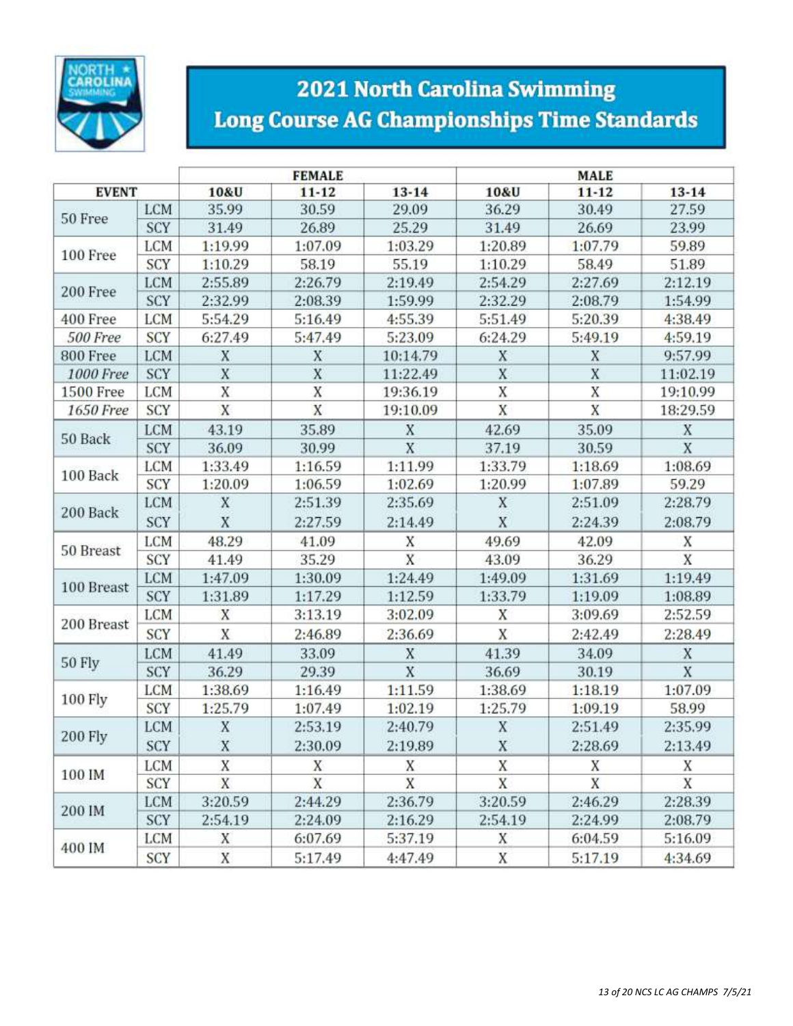

# **2021 North Carolina Swimming Long Course AG Championships Time Standards**

|                  |            |         | <b>FEMALE</b> |           | <b>MALE</b> |           |                |  |  |  |
|------------------|------------|---------|---------------|-----------|-------------|-----------|----------------|--|--|--|
| <b>EVENT</b>     |            | 10&U    | $11 - 12$     | $13 - 14$ | 10&U        | $11 - 12$ | $13 - 14$      |  |  |  |
|                  | <b>LCM</b> | 35.99   | 30.59         |           | 36.29       | 30.49     | 27.59          |  |  |  |
| 50 Free          | SCY        | 31.49   | 26.89         | 25.29     | 31.49       | 26.69     | 23.99          |  |  |  |
|                  | LCM        | 1:19.99 | 1:07.09       | 1:03.29   | 1:20.89     | 1:07.79   | 59.89          |  |  |  |
| 100 Free         | SCY        | 1:10.29 | 58.19         | 55.19     | 1:10.29     | 58.49     | 51.89          |  |  |  |
|                  | LCM        | 2:55.89 | 2:26.79       | 2:19.49   | 2:54.29     | 2:27.69   | 2:12.19        |  |  |  |
| 200 Free         | SCY        | 2:32.99 | 2:08.39       | 1:59.99   | 2:32.29     | 2:08.79   | 1:54.99        |  |  |  |
| 400 Free         | <b>LCM</b> | 5:54.29 | 5:16.49       | 4:55.39   | 5:51.49     | 5:20.39   | 4:38.49        |  |  |  |
| 500 Free         | SCY        | 6:27.49 | 5:47.49       | 5:23.09   | 6:24.29     | 5:49.19   | 4:59.19        |  |  |  |
| 800 Free         | <b>LCM</b> | X       | X             | 10:14.79  | X           | X         | 9:57.99        |  |  |  |
| 1000 Free        | SCY        | X       | X             | 11:22.49  | X           | X         | 11:02.19       |  |  |  |
| <b>1500 Free</b> | <b>LCM</b> | X       | X             | 19:36.19  | X           | X         | 19:10.99       |  |  |  |
| 1650 Free        | SCY        | X       | X             | 19:10.09  | X           | X         | 18:29.59       |  |  |  |
|                  | <b>LCM</b> | 43.19   | 35.89         | X         | 42.69       | 35.09     | X              |  |  |  |
| 50 Back          | SCY        | 36.09   | 30.99         | X         | 37.19       | 30.59     | X              |  |  |  |
|                  | LCM        | 1:33.49 | 1:16.59       | 1:11.99   | 1:33.79     | 1:18.69   | 1:08.69        |  |  |  |
| 100 Back         | SCY        | 1:20.09 | 1:06.59       | 1:02.69   | 1:20.99     | 1:07.89   | 59.29          |  |  |  |
|                  | LCM        | X       | 2:51.39       | 2:35.69   | X           | 2:51.09   | 2:28.79        |  |  |  |
| 200 Back         | SCY        | X       | 2:27.59       | 2:14.49   | X           | 2:24.39   | 2:08.79        |  |  |  |
|                  | LCM        | 48.29   | 41.09         | Χ         | 49.69       | 42.09     | Χ              |  |  |  |
| 50 Breast        | SCY        | 41.49   | 35.29         | X         | 43.09       | 36.29     | $\overline{X}$ |  |  |  |
|                  | LCM        | 1:47.09 | 1:30.09       | 1:24.49   | 1:49.09     | 1:31.69   | 1:19.49        |  |  |  |
| 100 Breast       | SCY        | 1:31.89 | 1:17.29       | 1:12.59   | 1:33.79     | 1:19.09   | 1:08.89        |  |  |  |
|                  | LCM        | X       | 3:13.19       | 3:02.09   | X           | 3:09.69   | 2:52.59        |  |  |  |
| 200 Breast       | SCY        | X       | 2:46.89       | 2:36.69   | X           | 2:42.49   | 2:28.49        |  |  |  |
|                  | LCM        | 41.49   | 33.09         | X         | 41.39       | 34.09     | X              |  |  |  |
| 50 Fly           | SCY        | 36.29   | 29.39         | X         | 36.69       | 30.19     | X              |  |  |  |
|                  | LCM        | 1:38.69 | 1:16.49       | 1:11.59   | 1:38.69     | 1:18.19   | 1:07.09        |  |  |  |
| 100 Fly          | SCY        | 1:25.79 | 1:07.49       | 1:02.19   | 1:25.79     | 1:09.19   | 58.99          |  |  |  |
|                  | <b>LCM</b> | X       | 2:53.19       | 2:40.79   | X           | 2:51.49   | 2:35.99        |  |  |  |
| 200 Fly          | SCY        | X       | 2:30.09       | 2:19.89   | X           | 2:28.69   | 2:13.49        |  |  |  |
|                  | LCM        | X       | X             | X         | X           | Χ         | Χ              |  |  |  |
| 100 IM           | SCY        | X       | X             | X         | X           | X         | X              |  |  |  |
|                  | <b>LCM</b> | 3:20.59 | 2:44.29       | 2:36.79   | 3:20.59     | 2:46.29   | 2:28.39        |  |  |  |
| 200 IM           | SCY        | 2:54.19 | 2:24.09       | 2:16.29   | 2:54.19     | 2:24.99   | 2:08.79        |  |  |  |
|                  | <b>LCM</b> | X       | 6:07.69       | 5:37.19   | Х           | 6:04.59   | 5:16.09        |  |  |  |
| 400 IM           | SCY        | X       | 5:17.49       | 4:47.49   | X           | 5:17.19   | 4:34.69        |  |  |  |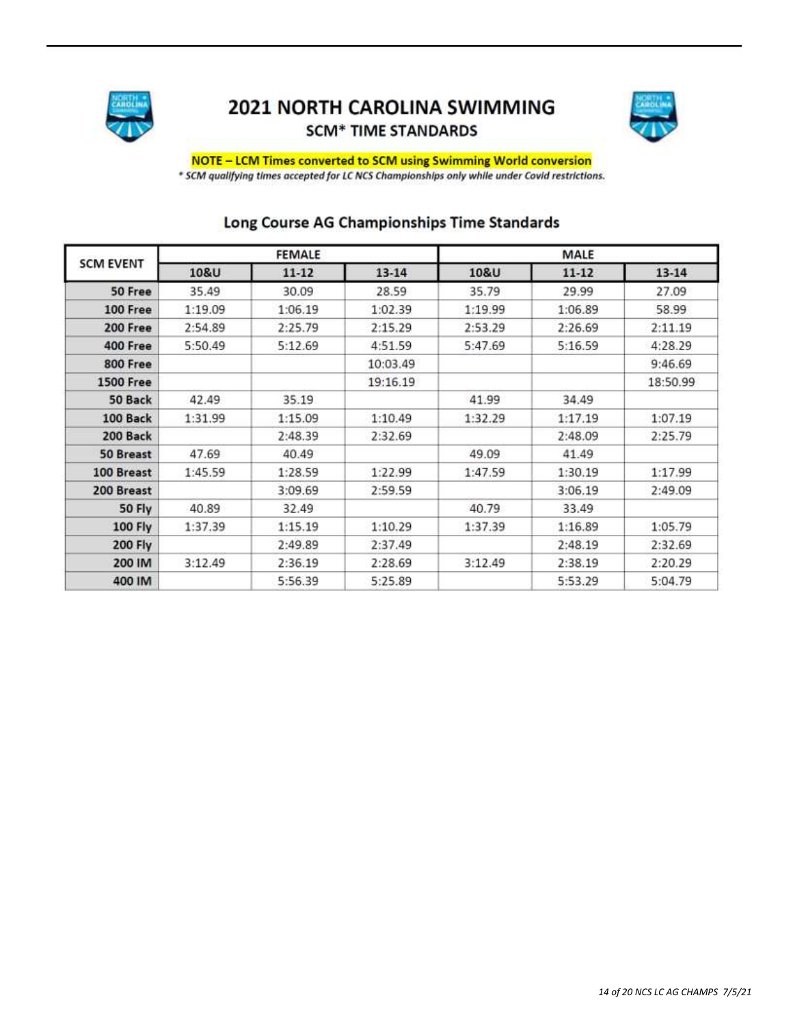

### 2021 NORTH CAROLINA SWIMMING **SCM\* TIME STANDARDS**



## NOTE - LCM Times converted to SCM using Swimming World conversion

\* SCM qualifying times accepted for LC NCS Championships only while under Covid restrictions.

| <b>SCM EVENT</b> |         | <b>FEMALE</b>      |           | MALE               |           |           |  |  |  |
|------------------|---------|--------------------|-----------|--------------------|-----------|-----------|--|--|--|
|                  | 10&U    | $11 - 12$          | $13 - 14$ | 10&U               | $11 - 12$ | $13 - 14$ |  |  |  |
| 50 Free          | 35.49   | 30.09              | 28.59     | 35.79              | 29.99     | 27.09     |  |  |  |
| 100 Free         | 1:19.09 | 1:06.19            | 1:02.39   | 1:19.99            | 1:06.89   | 58.99     |  |  |  |
| 200 Free         | 2:54.89 | 2:25.79            | 2:15.29   | 2:53.29            | 2:26.69   | 2:11.19   |  |  |  |
| 400 Free         | 5:50.49 | 5:12.69            | 4:51.59   | 5:47.69            | 5:16.59   | 4:28.29   |  |  |  |
| 800 Free         |         |                    | 10:03.49  |                    |           | 9:46.69   |  |  |  |
| <b>1500 Free</b> |         |                    | 19:16.19  |                    |           | 18:50.99  |  |  |  |
| 50 Back          | 42.49   | 35.19              |           | 41.99              | 34.49     |           |  |  |  |
| 100 Back         | 1:31.99 | 1:10.49<br>1:15.09 |           | 1:32.29            | 1:17.19   | 1:07.19   |  |  |  |
| 200 Back         |         | 2:48.39            | 2:32.69   |                    | 2:48.09   | 2:25.79   |  |  |  |
| 50 Breast        | 47.69   | 40.49              |           | 49.09              | 41.49     |           |  |  |  |
| 100 Breast       | 1:45.59 | 1:28.59            | 1:22.99   | 1:47.59            | 1:30.19   | 1:17.99   |  |  |  |
| 200 Breast       |         | 3:09.69            | 2:59.59   |                    | 3:06.19   | 2:49.09   |  |  |  |
| 50 Fly           | 40.89   | 32.49              |           | 40.79              | 33.49     |           |  |  |  |
| 100 Fly          | 1:37.39 | 1:15.19            | 1:10.29   | 1:37.39            | 1:16.89   | 1:05.79   |  |  |  |
| <b>200 Fly</b>   |         | 2:49.89            | 2:37.49   |                    | 2:48.19   | 2:32.69   |  |  |  |
| 200 IM           | 3:12.49 | 2:36.19            | 2:28.69   | 3:12.49<br>2:38.19 |           | 2:20.29   |  |  |  |
| 400 IM           |         | 5:56.39            | 5:25.89   |                    | 5:53.29   | 5:04.79   |  |  |  |

### Long Course AG Championships Time Standards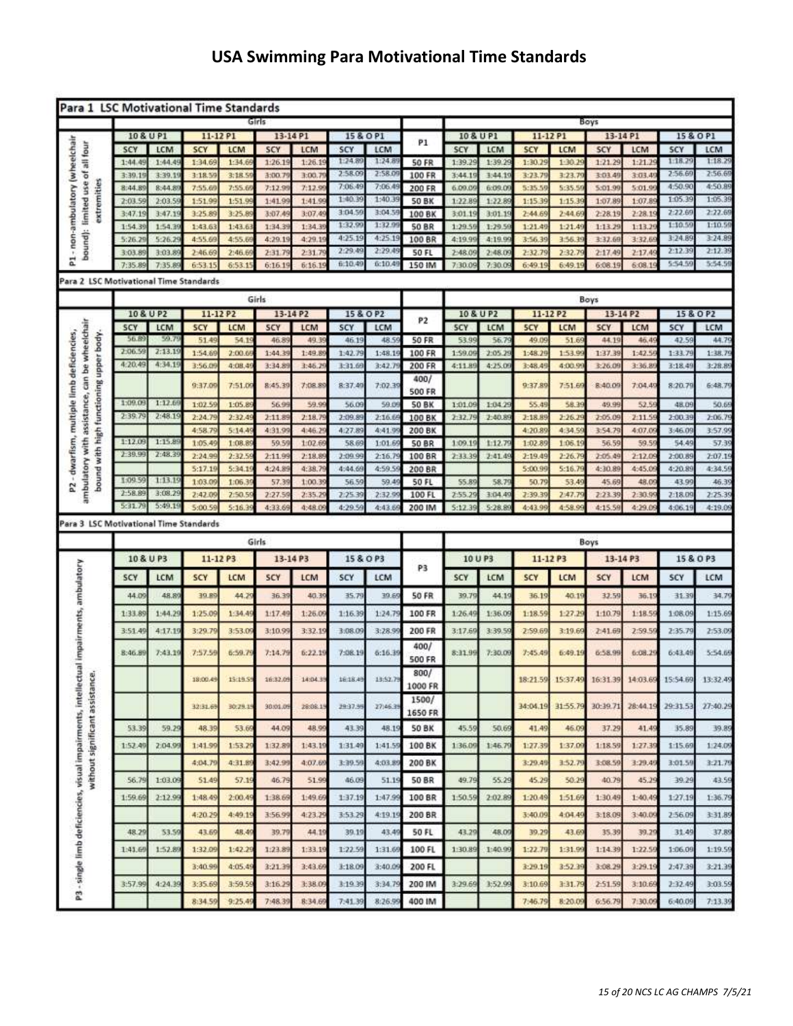## **USA Swimming Para Motivational Time Standards**

| Para 1 LSC Motivational Time Standards                                                                                              |                        |                   |                    |                  |                  |                  |                    |                  |                        |                  |                   |                    |                  |                    |                   |                    |                   |
|-------------------------------------------------------------------------------------------------------------------------------------|------------------------|-------------------|--------------------|------------------|------------------|------------------|--------------------|------------------|------------------------|------------------|-------------------|--------------------|------------------|--------------------|-------------------|--------------------|-------------------|
|                                                                                                                                     |                        |                   |                    |                  | Girls            |                  |                    |                  |                        | Boys             |                   |                    |                  |                    |                   |                    |                   |
|                                                                                                                                     | 10 & U P1              |                   | 11-12 P1           |                  | 13-14 P1         |                  | 15 & O P1          |                  | P1                     | 10 & U P1        |                   | 11-12 P1           |                  | 13-14 P1           |                   | 15 & O P1          |                   |
| - non-ambulatory (wheelchair<br>bound): limited use of all four                                                                     | SCY                    | LCM               | SCY                | LCM              | SCY              | LCM              | SCY                | LCM              |                        | SCY              | LCM               | SCY                | LCM              | SCY                | <b>LCM</b>        | SCY                | LCM               |
|                                                                                                                                     | 1:44.49                | 1:44.4            | 1:34.69            | 1:34.6           | 1:26.1           | 1:26.1           | 1:24.89<br>2.58.09 | 1:24.8<br>2:58.0 | <b>50 FR</b>           | 1:39.2           | 1:39.29           | 1:30.29            | 1:30.2           | 1:21.29            | 1:21.2            | 1:18.29<br>2:56.66 | 1:18.29<br>2:56.6 |
|                                                                                                                                     | 3:39.19                | 3:39.1            | 3:18.55            | 3:18.5           | 3:00.            | 3:00.            | 7:06:49            | 7:06.4           | 100 FR                 | 3:44.1           | 3:44.19           | 3:23.75            | 3:23.7           | 3:03.4             | 3:03.4            | 4:50.90            | 4:50.89           |
| extremities                                                                                                                         | 8:44.89<br>2:03.59     | 8:44.8<br>2:03.5  | 7:55.65<br>1:51.99 | 7:55.6<br>1:51.9 | 7:12.9<br>1:41.9 | 7:12.9<br>1:41.9 | 1:40.39            | 1:40.3           | 200 FR                 | 6.09.0<br>1:22.8 | 6:09.09<br>1:22.8 | 5:35.59<br>1:15.39 | 5:35.5<br>1:15.3 | 5:01.99<br>1:07.89 | 5:01.9<br>1:07.8  | 1:05.39            | 1:05.39           |
|                                                                                                                                     | 3:47.19                | 3:47.1            | 3:25.89            | 3:25.8           | 3:07.4           | 3:07.4           | 3:04.56            | 3:04.5           | <b>50 BK</b><br>100 BK | 3:01.19          | 3:01.19           | 2:44.69            | $2-44.6$         | 2:28.19            | 2:28.19           | 2:22.66            | 2:22.66           |
|                                                                                                                                     | 1:54.39                | 1:54.3            | 1:43.63            | 1:43.6           | 1:34.3           | 1:34.3           | 1:32.9             | 1:32.9           | <b>50 BR</b>           | 1:29.5           | 1:29.56           | 1:21.49            | 1:21.45          | 1:13.29            | 1:13.2            | 1:10.55            | 1:10.59           |
|                                                                                                                                     | 5:26.29                | 5:26.2            | 4:55.69            | 4:55.6           | 4:29.19          | 4:29.1           | 4:25.19            | 4:25.19          | 100 BR                 | 4:19.99          | 4:19.96           | 3:56.39            | 3:56.35          | 3:32.69            | 3:32.6            | 3:24.89            | 3:24.89           |
|                                                                                                                                     | 3:03.89                | 3:03.8            | 2:46.69            | 2:46.6           | 2:31.7           | 2:31.7           | 2:29.49            | 2:29.4           | <b>50 FL</b>           | 2:48.09          | 2.48.05           | 2:32.79            | $2 - 32.7$       | 2:17.49            | 2:17.4            | 2:12.39            | 2:12.39           |
| E,                                                                                                                                  | 7:35.89                | 7:35.8            | 6:53:15            | 6:53.1           | 6:16.1           | 6:16.1           | 6:10.49            | 6:10.4           | 150 IM                 | 7:30:09          | 7:30.09           | 6:49.19            | 6:49.1           | 6:08.19            | 6:08.1            | 5:54.55            | 5:54.59           |
| Para 2 LSC Motivational Time Standards                                                                                              |                        |                   |                    |                  |                  |                  |                    |                  |                        |                  |                   |                    |                  |                    |                   |                    |                   |
|                                                                                                                                     |                        |                   |                    |                  | Girls            |                  |                    |                  |                        |                  |                   |                    |                  | Boys               |                   |                    |                   |
|                                                                                                                                     | 10 & U P2              |                   | 11-12 P2           |                  | 13-14 P2         |                  |                    | 15 & O P2        |                        |                  | 10 & U P2         | 11-12 P2           |                  | 13-14 P2           |                   |                    | 15 & O P2         |
|                                                                                                                                     | SCY                    | LCM               | SCY                | <b>LCM</b>       | SCY              | LCM              | SCY                | LCM              | P <sub>2</sub>         | 5CY              | LCM               | 5CY                | <b>LCM</b>       | <b>SCY</b>         | LCM               | SCY                | LCM               |
|                                                                                                                                     | 56.B                   | 59.7              | 51.49              | 54.1             | 46.8             | 49.3             | 46.19              | 48.5             | <b>50 FR</b>           | 53.99            | 56.7              | 49.09              | 51.6             | 44.19              | 46.4              | 42.59              | 44.79             |
|                                                                                                                                     | 2:06.59                | 2:13.19           | 1:54.65            | 2:00.6           | 1:44.3           | 1:49.8           | 1.42.79            | 1:48.1           | 100 FR                 | 1:59.09          | 2:05.25           | 1:48.29            | 1:53.99          | 1:37.39            | 1:42.5            | 1:33.7             | 1:38.79           |
| ambulatory with assistance, can be wheelchair<br>- dwarfism, multiple limb deficiencies,<br>bound with high functioning upper body. | 4:20.49                | 4:34.1            | 3:56.0             | 4:08.4           | 3:34.8           | 3:46.2           | 3:31.69            | 3:42.7           | 200 FR                 | 4:11.89          | 4:25.09           | 3:48.49            | 4:00.9%          | 3:26.09            | 3:36.8            | 3:18.49            | 3:28.89           |
|                                                                                                                                     |                        |                   | 9:37.09            | 7:51.0           | 8:45.39          | 7:08.89          | 8:37.40            | 7:02.39          | 400/                   |                  |                   | 9:37.89            | 7:51.6           | 8:40.09            | 7:04.49           | 8:20.7             | 6:48.79           |
|                                                                                                                                     |                        |                   |                    |                  |                  |                  |                    |                  | <b>500 FR</b>          |                  |                   |                    |                  |                    |                   |                    |                   |
|                                                                                                                                     | 1:09.09                | 1:12.6            | 1:02.59            | 1:05.8           | 56.95            | 59.9             | 56.09              | 59.0             | <b>SO BK</b>           | 1:01.09          | 1:04.29           | 55.49              | 58.3             | 49.99              | 52.5              | 48.09              | 50.65             |
|                                                                                                                                     | 2:39.79                | 2:48.1            | 2:24.7             | 2:32.4           | 2:11.8           | 2:18.            | 2:09.8             | 2:16.6           | 100 BK                 | 2:32.7           | 2:40.8            | 2:18.89            | 2:26.2           | 2:05.09            | 2:11.5            | 2:00.3             | 2:06.79           |
|                                                                                                                                     |                        |                   | 4:58.79            | 5:14.4           | 4:31.9           | 4:46.2           | 4:27.8             | 4:41.9           | 200 BK                 |                  |                   | 4:20.89            | 4:34.5           | 3:54.79            | 4:07.09           | 3:46.0             | 3:57.99           |
|                                                                                                                                     | 1:12.09<br>$2 - 39.99$ | 1:15.8<br>2:48.39 | 1:05.49            | 1:08.8           | 59.5             | 1:02.6           | 58.69              | 1:01.6           | <b>50 BR</b>           | 1:09.1           | 1:12.7            | 1:02.89            | 1:06.1           | 56.59              | 59.5              | 54.4!              | 57.39             |
|                                                                                                                                     |                        |                   | 2:24.99            | 2:32.3           | 2:11.9           | 2:18.8           | $2 - 0999$         | 2:16             | 100 BR                 | 2:33.3           | 2:41.45           | 2:19.49            | $2 - 26.7$       | 2:05.49            | 2:12.05           | 2:00.8             | 2:07.19           |
|                                                                                                                                     | 1:09.59                | 1:13.1            | 5:17.19            | 5:34.1           | 4:24.8           | 4:38.7           | 4:44.66            | 4:59.5           | 200 BR                 |                  |                   | 5:00.99            | 5:16.7           | 4:30.89            | 4:45.09           | 4:20.8             | 4:34.59           |
| 24                                                                                                                                  | $2 - 58.89$            | 3:08.2            | 1:03.09<br>2:42.0  | 1:06.<br>2:50.   | 57.3<br>2:27.    | 1:00.<br>2:35    | 56.59<br>2:25.3    | 59.4<br>2:32     | 50 FL<br>100 FL        | 55.89<br>2:55.2  | 58.7<br>3:04.4    | 50.79<br>7:39.3    | 53.4<br>247.7    | 45.69<br>2:23.3    | 48.0<br>2:30.9    | 43.9<br>2:18.0     | 46.39<br>2:25.39  |
|                                                                                                                                     | 5:31.79                | 5:49.1            | 5:00.59            | 5:16.3           | 4:33.6           | 4:48.0           | 4:29.5             | 4:43.            | 200 IM                 | 5:12.3           | 5:28.8            | 4:43.99            | 4:58.9           | 4:15.56            | 4:29.0            | 4:06.19            | 4:19.09           |
|                                                                                                                                     |                        |                   |                    |                  |                  |                  |                    |                  |                        |                  |                   |                    |                  |                    |                   |                    |                   |
| Para 3 LSC Motivational Time Standards                                                                                              |                        |                   |                    |                  |                  |                  |                    |                  |                        |                  |                   |                    |                  |                    |                   |                    |                   |
|                                                                                                                                     |                        |                   |                    |                  | Girls            |                  |                    |                  |                        |                  |                   |                    |                  | Boys               |                   |                    |                   |
|                                                                                                                                     | 10 & U P3              |                   | 11-12 P3           |                  | 13-14 P3         |                  | 15 & O P3          |                  |                        | 10 U P3          |                   | 11-12 P3           |                  | 13-14 P3           |                   |                    | 15 & O P3         |
|                                                                                                                                     | SCY                    | <b>LCM</b>        | SCY                | LCM              | SCY              | <b>LCM</b>       | SCY                | LCM              | P3                     | SCY              | LCM               | SCY                | <b>LCM</b>       | SCY                | LCM               | SCY                | LCM               |
|                                                                                                                                     | 44.09                  | 48.8              | 39.BS              | 44.7             | 36.3             | 40.3             | 35.7               | 39.6             | <b>50 FR</b>           | 39.7             | 44.1              | 36.19              | 40.1             | 32.59              | 36.1              | 31.3               | 34.79             |
|                                                                                                                                     | 1:33.89                | 1:44.2            | 1:25.09            | 1:34.4           | 1:17.4           | 1:26.0           | 1:16.39            | 1:24.7           | 100 FR                 | 1:26.49          | 1:36.09           | 1:18.59            | 1:27.25          | 1:10.79            | 1:18.5            | 1:08.09            | 1:15.69           |
|                                                                                                                                     | 3:51.49                | 4:17.1            | 3:29.79            | 3:53.0           | 3:10.9           | 3:32.1           | 3:08.0             | 3:28.9           | 200 FR                 | 3:17.6           | 3:39.5            | 2:59.69            | 3:19.69          | 2:41.69            | 2:59.5            | 2:35.7             | 2:53.09           |
| tual impairments, ambulatory                                                                                                        | 8:46.89                | 7:43.1            | 7:57.59            | 6:59.7           | 7:14.79          | 6:22.19          | 7:08:19            | 6:16.39          | 400/                   | 8:31.99          | 7:30.05           | 7:45.49            | 6:49.19          | 6:58.99            | 6:08.29           | 6:43.49            | 5:54.69           |
|                                                                                                                                     |                        |                   |                    |                  |                  |                  |                    |                  | 500 FR<br>800/         |                  |                   |                    |                  |                    |                   |                    |                   |
|                                                                                                                                     |                        |                   | 18:00.49           | 15:19.5          | 16:32.09         | 14:04.39         | 16:18.49           | 13:52.79         | 1000 FR                |                  |                   | 18:21.59           | 15:37.49         |                    | 16:31.39 14:03.69 | 15:54.69           | 13:32.49          |
|                                                                                                                                     |                        |                   |                    |                  |                  |                  |                    |                  | 1500/                  |                  |                   |                    |                  |                    |                   |                    |                   |
|                                                                                                                                     |                        |                   | 32:31.69           | 30:29.19         | 90301.09         | 28:08:15         | 29:37.99           | 27)46.39         | 1650 FR                |                  |                   | 34:04.19           | 31:55.79         | 30:39.71           | 28:44.19          | 29:31.53           | 27:40.29          |
| without significant assistance.<br>P3 - single limb deficiencies, visual impairments, intellect                                     | 53.39                  | 59.29             | 48.39              | 53.6             | 44.0             | 48.99            | 43.39              | 48.19            | 50 BK                  | 45.59            | 50.69             | 41.49              | 46.09            | 37.29              | 41.49             | 35.89              | 39.89             |
|                                                                                                                                     | 1:52.49                | 2:04.9            | 1:41.99            | 1:53.2           | 1:32.8           | 1:43.1           | 1:31.49            | 1:41.59          | 100 BK                 | 1:36.09          | 1:46.79           | 1:27.39            | 1:37.06          | 1:18.59            | 1:27.36           | 1:15.69            | 1:24.09           |
|                                                                                                                                     |                        |                   |                    |                  |                  |                  |                    |                  |                        |                  |                   |                    |                  |                    |                   |                    |                   |
|                                                                                                                                     |                        |                   | 4:04.79            | 4:31.8           | 3:42.99          | 4:07.6           | 3:39.59            | 4:03.85          | 200 BK                 |                  |                   | 3:29.49            | 3:52.75          | 3:08.59            | 3:29.49           | 3:01.55            | 3:21.75           |
|                                                                                                                                     | 56.79                  | 1:03.09           | 51.49              | 57.19            | 46.79            | 51.99            | 46.09              | 51.19            | 50 BR                  | 49.79            | 55.29             | 45.29              | 50.29            | 40.79              | 45.29             | 39.29              | 43.59             |
|                                                                                                                                     | 1:59.69                | 2.12.96           | 1:48.49            | 2:00.4           | 1:38.69          | 1:49.6           | 1:37.19            | 1:47.99          | 100 BR                 | 1:50.59          | 2:02.89           | 1:20.49            | 1:51.69          | 1:30.49            | 1:40.49           | 1:27.19            | 1:36.79           |
|                                                                                                                                     |                        |                   |                    |                  |                  |                  |                    |                  |                        |                  |                   |                    |                  |                    |                   |                    |                   |
|                                                                                                                                     |                        |                   | 4:20.29            | 4:49.1           | 3:56.9           | 4:23.2           | 3:53.29            | 4:19.19          | 200 BR                 |                  |                   | 3:40.09            | 4:04.49          | 3:18.09            | 3:40.05           | 2:56.09            | 3:31.89           |
|                                                                                                                                     | 48.29                  | 53.59             | 43.69              | 48.4             | 39.7             | 44.19            | 39.19              | 43,49            | 50 FL                  | 43.29            | 48.09             | 39.29              | 43.66            | 35.39              | 39.29             | 31.49              | 37.89             |
|                                                                                                                                     | 1:41.69                | 1.52.8            | 1:32.09            | 1:42.2           | 1:23.8           | 1:33.1           | 1:22.59            | 1:31.69          | 100 FL                 | 1:30.89          | 1:40.99           | 1:22.79            | 1:31.99          | 1:14.39            | 1:22.59           | 1:06.09            | 1:19.59           |
|                                                                                                                                     |                        |                   | 3:40.99            | 4:05.4           | 3:21.39          | 3:43.6           | 3:18.09            | 3:40.05          | 200 FL                 |                  |                   | 3:29.19            | 3:52.39          | 3:08.29            | 3:29.19           | 2:47.39            | 3:21.39           |
|                                                                                                                                     |                        |                   |                    |                  |                  |                  |                    |                  |                        |                  |                   |                    |                  |                    |                   |                    |                   |
|                                                                                                                                     | 3:57.99                | 4:24.3            | 3:35.69            | 3:59.5           | 3:16.2           | 3:38.0           | 3:10.39            | 3:34.7           | 200 IM                 | 3:29.65          | 3:52.99           | 3:10.69            | 3:31.7           | 2:51.59            | 3:10.65           | 2:32.4             | 3:03.59           |
|                                                                                                                                     |                        |                   | 8:34.59            | 9:25.4           | 7:48.3           | 8:34.6           | 7:41.39            | 8:26.9           | 400 IM                 |                  |                   | 7:46.79            | 8:20.0           | 6:56.79            | 7:30.05           | 6:40.09            | 7:13.39           |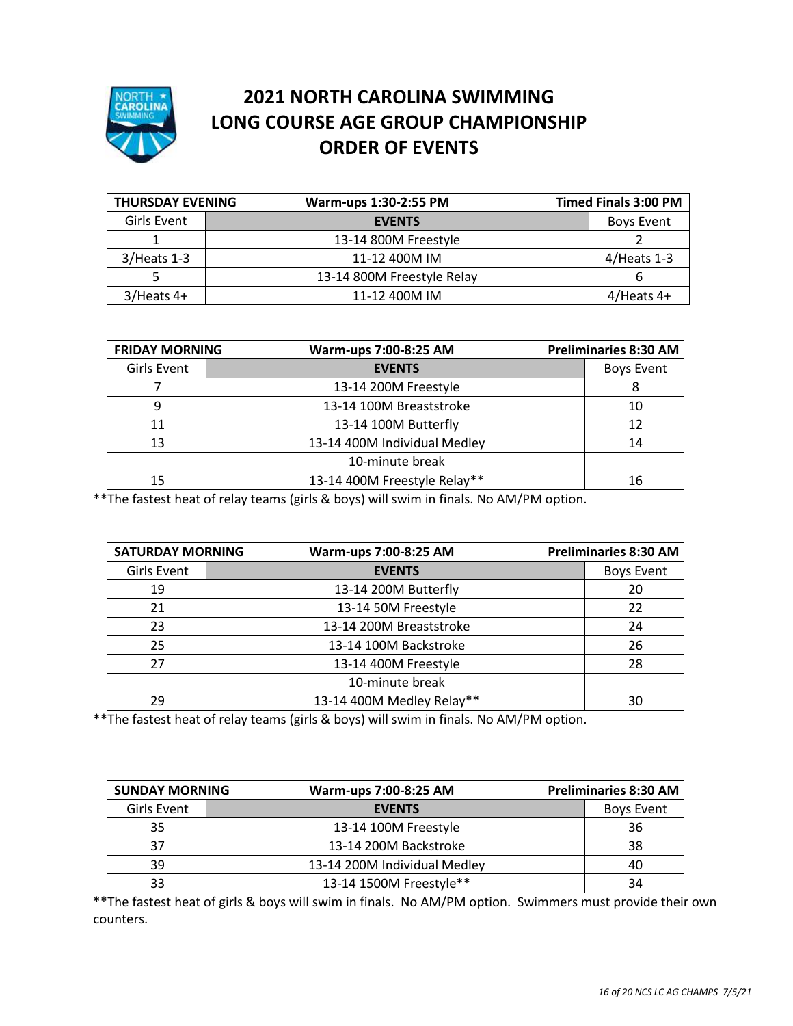

## **2021 NORTH CAROLINA SWIMMING LONG COURSE AGE GROUP CHAMPIONSHIP ORDER OF EVENTS**

| <b>THURSDAY EVENING</b> | Warm-ups 1:30-2:55 PM      | <b>Timed Finals 3:00 PM</b> |
|-------------------------|----------------------------|-----------------------------|
| Girls Event             | <b>EVENTS</b>              | Boys Event                  |
|                         | 13-14 800M Freestyle       |                             |
| $3/$ Heats 1-3          | 11-12 400M IM              | $4/Heats$ 1-3               |
|                         | 13-14 800M Freestyle Relay |                             |
| $3/$ Heats 4+           | 11-12 400M IM              | $4$ /Heats 4+               |

| <b>FRIDAY MORNING</b> | Warm-ups 7:00-8:25 AM        | Preliminaries 8:30 AM |
|-----------------------|------------------------------|-----------------------|
| Girls Event           | <b>EVENTS</b>                | <b>Boys Event</b>     |
|                       | 13-14 200M Freestyle         |                       |
| 9                     | 13-14 100M Breaststroke      | 10                    |
| 11                    | 13-14 100M Butterfly         | 12                    |
| 13                    | 13-14 400M Individual Medley | 14                    |
|                       | 10-minute break              |                       |
|                       | 13-14 400M Freestyle Relay** | 16                    |

\*\*The fastest heat of relay teams (girls & boys) will swim in finals. No AM/PM option.

| <b>SATURDAY MORNING</b> | Warm-ups 7:00-8:25 AM     | <b>Preliminaries 8:30 AM</b> |
|-------------------------|---------------------------|------------------------------|
| Girls Event             | <b>EVENTS</b>             | <b>Boys Event</b>            |
| 19                      | 13-14 200M Butterfly      | 20                           |
| 21                      | 13-14 50M Freestyle       | 22                           |
| 23                      | 13-14 200M Breaststroke   |                              |
| 25                      | 13-14 100M Backstroke     | 26                           |
| 27                      | 13-14 400M Freestyle      | 28                           |
| 10-minute break         |                           |                              |
| 29                      | 13-14 400M Medley Relay** | 30                           |

\*\*The fastest heat of relay teams (girls & boys) will swim in finals. No AM/PM option.

| <b>SUNDAY MORNING</b> | Warm-ups 7:00-8:25 AM        |  | <b>Preliminaries 8:30 AM</b> |
|-----------------------|------------------------------|--|------------------------------|
| Girls Event           | <b>EVENTS</b>                |  | Boys Event                   |
| 35                    | 13-14 100M Freestyle         |  | 36                           |
| 37                    | 13-14 200M Backstroke        |  | 38                           |
| 39                    | 13-14 200M Individual Medley |  | 40                           |
| 33                    | 13-14 1500M Freestyle**      |  | 34                           |

\*\*The fastest heat of girls & boys will swim in finals. No AM/PM option. Swimmers must provide their own counters.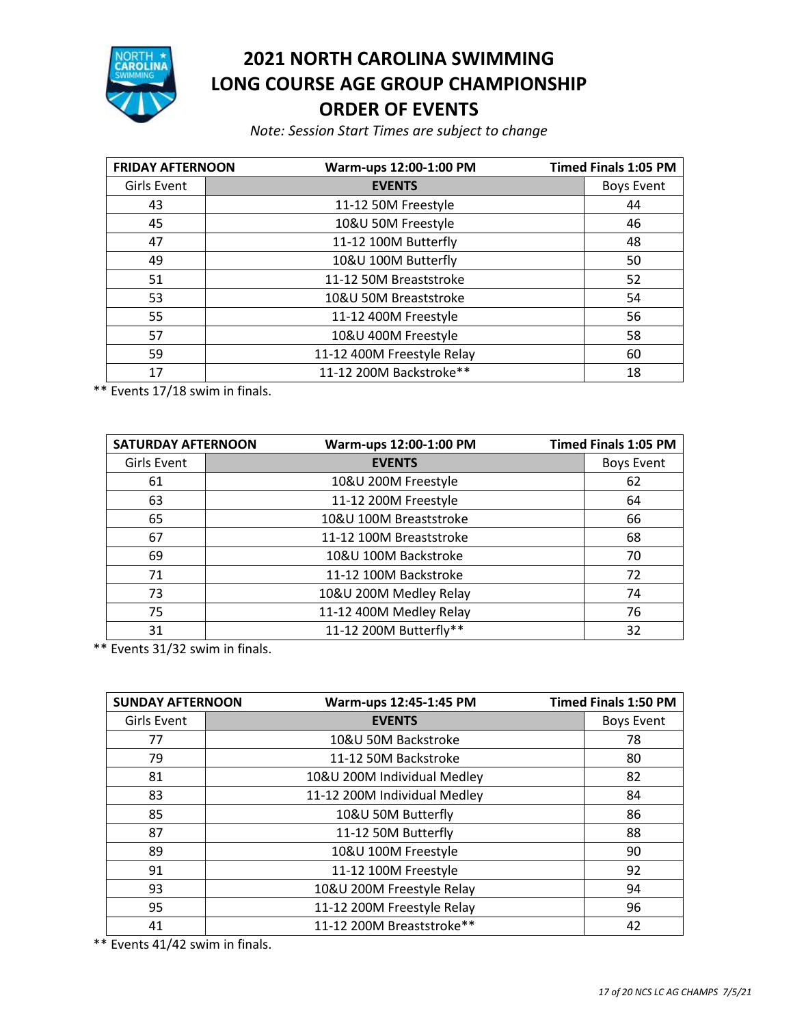

## **NORTH CAROLINA SWIMMING LONG COURSE AGE GROUP CHAMPIONSHIP ORDER OF EVENTS**

*Note: Session Start Times are subject to change*

| <b>FRIDAY AFTERNOON</b> | Warm-ups 12:00-1:00 PM     | <b>Timed Finals 1:05 PM</b> |
|-------------------------|----------------------------|-----------------------------|
| Girls Event             | <b>EVENTS</b>              | <b>Boys Event</b>           |
| 43                      | 11-12 50M Freestyle        | 44                          |
| 45                      | 10&U 50M Freestyle         | 46                          |
| 47                      | 11-12 100M Butterfly       | 48                          |
| 49                      | 10&U 100M Butterfly        | 50                          |
| 51                      | 11-12 50M Breaststroke     | 52                          |
| 53                      | 10&U 50M Breaststroke      | 54                          |
| 55                      | 11-12 400M Freestyle       | 56                          |
| 57                      | 10&U 400M Freestyle        | 58                          |
| 59                      | 11-12 400M Freestyle Relay | 60                          |
| 17                      | 11-12 200M Backstroke**    | 18                          |

\*\* Events 17/18 swim in finals.

| <b>SATURDAY AFTERNOON</b> |                         | Warm-ups 12:00-1:00 PM  |    | <b>Timed Finals 1:05 PM</b> |
|---------------------------|-------------------------|-------------------------|----|-----------------------------|
| Girls Event               | <b>EVENTS</b>           |                         |    | <b>Boys Event</b>           |
| 61                        |                         | 10&U 200M Freestyle     |    | 62                          |
| 63                        |                         | 11-12 200M Freestyle    |    | 64                          |
| 65                        |                         | 10&U 100M Breaststroke  |    | 66                          |
| 67                        | 11-12 100M Breaststroke |                         | 68 |                             |
| 69                        | 10&U 100M Backstroke    |                         | 70 |                             |
| 71                        |                         | 11-12 100M Backstroke   |    | 72                          |
| 73                        |                         | 10&U 200M Medley Relay  |    | 74                          |
| 75                        |                         | 11-12 400M Medley Relay |    | 76                          |
| 31                        |                         | 11-12 200M Butterfly**  |    | 32                          |

\*\* Events 31/32 swim in finals.

| <b>SUNDAY AFTERNOON</b> | Warm-ups 12:45-1:45 PM       | <b>Timed Finals 1:50 PM</b> |
|-------------------------|------------------------------|-----------------------------|
| Girls Event             | <b>EVENTS</b>                | <b>Boys Event</b>           |
| 77                      | 10&U 50M Backstroke          | 78                          |
| 79                      | 11-12 50M Backstroke         | 80                          |
| 81                      | 10&U 200M Individual Medley  | 82                          |
| 83                      | 11-12 200M Individual Medley | 84                          |
| 85                      | 10&U 50M Butterfly           | 86                          |
| 87                      | 11-12 50M Butterfly          | 88                          |
| 89                      | 10&U 100M Freestyle          | 90                          |
| 91                      | 11-12 100M Freestyle         | 92                          |
| 93                      | 10&U 200M Freestyle Relay    | 94                          |
| 95                      | 11-12 200M Freestyle Relay   | 96                          |
| 41                      | 11-12 200M Breaststroke**    | 42                          |

\*\* Events 41/42 swim in finals.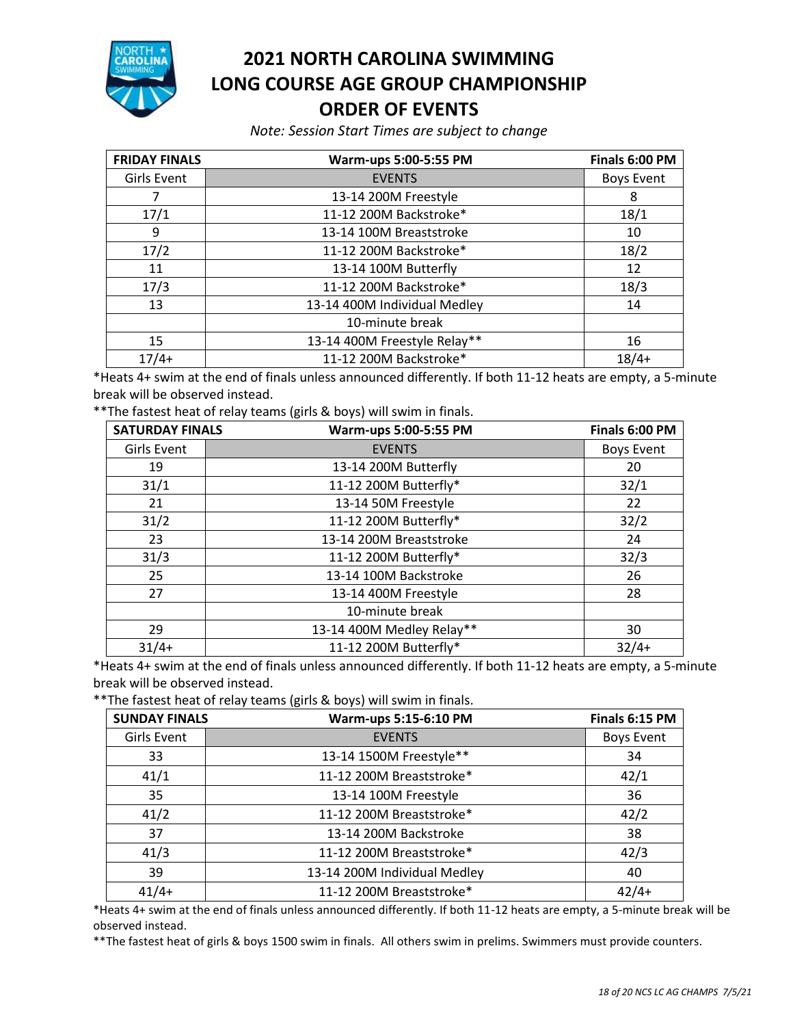

## **2021 NORTH CAROLINA SWIMMING LONG COURSE AGE GROUP CHAMPIONSHIP ORDER OF EVENTS**

*Note: Session Start Times are subject to change*

| <b>FRIDAY FINALS</b> | Warm-ups 5:00-5:55 PM              | Finals 6:00 PM    |
|----------------------|------------------------------------|-------------------|
| Girls Event          | <b>EVENTS</b>                      | <b>Boys Event</b> |
|                      | 13-14 200M Freestyle               | 8                 |
| 17/1                 | 11-12 200M Backstroke*             | 18/1              |
| 9                    | 13-14 100M Breaststroke            | 10                |
| 17/2                 | 11-12 200M Backstroke*             | 18/2              |
| 11                   | 13-14 100M Butterfly               | 12                |
| 17/3                 | 11-12 200M Backstroke*             | 18/3              |
| 13                   | 13-14 400M Individual Medley<br>14 |                   |
|                      | 10-minute break                    |                   |
| 15                   | 13-14 400M Freestyle Relay**       | 16                |
| $17/4+$              | 11-12 200M Backstroke*             | $18/4+$           |

\*Heats 4+ swim at the end of finals unless announced differently. If both 11-12 heats are empty, a 5-minute break will be observed instead.

\*\*The fastest heat of relay teams (girls & boys) will swim in finals.

| <b>SATURDAY FINALS</b> | Warm-ups 5:00-5:55 PM         | Finals 6:00 PM    |
|------------------------|-------------------------------|-------------------|
| Girls Event            | <b>EVENTS</b>                 | <b>Boys Event</b> |
| 19                     | 13-14 200M Butterfly          | 20                |
| 31/1                   | 11-12 200M Butterfly*         | 32/1              |
| 21                     | 13-14 50M Freestyle           | 22                |
| 31/2                   | 11-12 200M Butterfly*         | 32/2              |
| 23                     | 13-14 200M Breaststroke<br>24 |                   |
| 31/3                   | 11-12 200M Butterfly*         | 32/3              |
| 25                     | 13-14 100M Backstroke         | 26                |
| 27                     | 13-14 400M Freestyle<br>28    |                   |
|                        | 10-minute break               |                   |
| 29                     | 13-14 400M Medley Relay**     | 30                |
| $31/4+$                | 11-12 200M Butterfly*         | $32/4+$           |

\*Heats 4+ swim at the end of finals unless announced differently. If both 11-12 heats are empty, a 5-minute break will be observed instead.

\*\*The fastest heat of relay teams (girls & boys) will swim in finals.

| <b>SUNDAY FINALS</b><br>Warm-ups 5:15-6:10 PM |                              | Finals 6:15 PM    |
|-----------------------------------------------|------------------------------|-------------------|
| Girls Event                                   | <b>EVENTS</b>                | <b>Boys Event</b> |
| 33                                            | 13-14 1500M Freestyle**      | 34                |
| 41/1                                          | 11-12 200M Breaststroke*     | 42/1              |
| 35                                            | 13-14 100M Freestyle         | 36                |
| 41/2                                          | 11-12 200M Breaststroke*     | 42/2              |
| 37                                            | 13-14 200M Backstroke        | 38                |
| 41/3                                          | 11-12 200M Breaststroke*     | 42/3              |
| 39                                            | 13-14 200M Individual Medley | 40                |
| $41/4+$                                       | 11-12 200M Breaststroke*     | $42/4+$           |

\*Heats 4+ swim at the end of finals unless announced differently. If both 11-12 heats are empty, a 5-minute break will be observed instead.

\*\*The fastest heat of girls & boys 1500 swim in finals. All others swim in prelims. Swimmers must provide counters.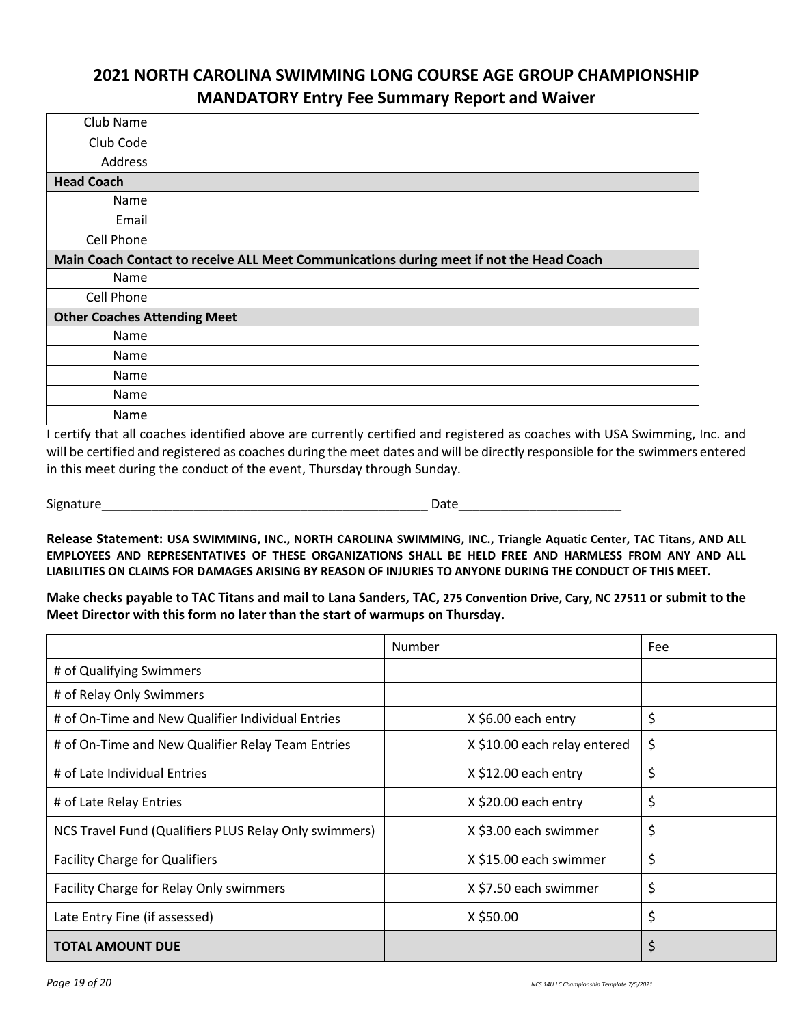### **2021 NORTH CAROLINA SWIMMING LONG COURSE AGE GROUP CHAMPIONSHIP MANDATORY Entry Fee Summary Report and Waiver**

| Club Name                           |                                                                                         |
|-------------------------------------|-----------------------------------------------------------------------------------------|
| Club Code                           |                                                                                         |
| Address                             |                                                                                         |
| <b>Head Coach</b>                   |                                                                                         |
| Name                                |                                                                                         |
| Email                               |                                                                                         |
| Cell Phone                          |                                                                                         |
|                                     | Main Coach Contact to receive ALL Meet Communications during meet if not the Head Coach |
| Name                                |                                                                                         |
| Cell Phone                          |                                                                                         |
| <b>Other Coaches Attending Meet</b> |                                                                                         |
| Name                                |                                                                                         |
| Name                                |                                                                                         |
| Name                                |                                                                                         |
| Name                                |                                                                                         |
| <b>Name</b>                         |                                                                                         |

I certify that all coaches identified above are currently certified and registered as coaches with USA Swimming, Inc. and will be certified and registered as coaches during the meet dates and will be directly responsible for the swimmers entered in this meet during the conduct of the event, Thursday through Sunday.

Signature\_\_\_\_\_\_\_\_\_\_\_\_\_\_\_\_\_\_\_\_\_\_\_\_\_\_\_\_\_\_\_\_\_\_\_\_\_\_\_\_\_\_\_\_\_\_ Date\_\_\_\_\_\_\_\_\_\_\_\_\_\_\_\_\_\_\_\_\_\_\_

**Release Statement: USA SWIMMING, INC., NORTH CAROLINA SWIMMING, INC., Triangle Aquatic Center, TAC Titans, AND ALL EMPLOYEES AND REPRESENTATIVES OF THESE ORGANIZATIONS SHALL BE HELD FREE AND HARMLESS FROM ANY AND ALL LIABILITIES ON CLAIMS FOR DAMAGES ARISING BY REASON OF INJURIES TO ANYONE DURING THE CONDUCT OF THIS MEET.** 

**Make checks payable to TAC Titans and mail to Lana Sanders, TAC, 275 Convention Drive, Cary, NC 27511 or submit to the Meet Director with this form no later than the start of warmups on Thursday.** 

|                                                       | Number |                              | Fee |
|-------------------------------------------------------|--------|------------------------------|-----|
| # of Qualifying Swimmers                              |        |                              |     |
| # of Relay Only Swimmers                              |        |                              |     |
| # of On-Time and New Qualifier Individual Entries     |        | X \$6.00 each entry          | \$  |
| # of On-Time and New Qualifier Relay Team Entries     |        | X \$10.00 each relay entered | \$  |
| # of Late Individual Entries                          |        | X \$12.00 each entry         | \$  |
| # of Late Relay Entries                               |        | X \$20.00 each entry         | \$  |
| NCS Travel Fund (Qualifiers PLUS Relay Only swimmers) |        | X \$3.00 each swimmer        | \$  |
| <b>Facility Charge for Qualifiers</b>                 |        | X \$15.00 each swimmer       | \$  |
| Facility Charge for Relay Only swimmers               |        | X \$7.50 each swimmer        | \$  |
| Late Entry Fine (if assessed)                         |        | X \$50.00                    | \$  |
| <b>TOTAL AMOUNT DUE</b>                               |        |                              | \$  |